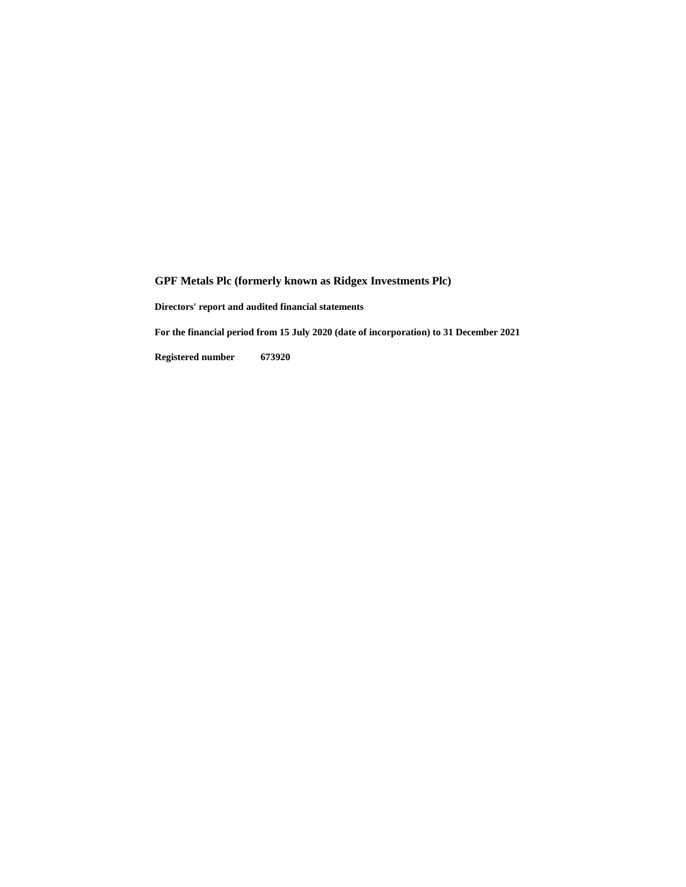**Directors' report and audited financial statements**

**For the financial period from 15 July 2020 (date of incorporation) to 31 December 2021**

**Registered number 673920**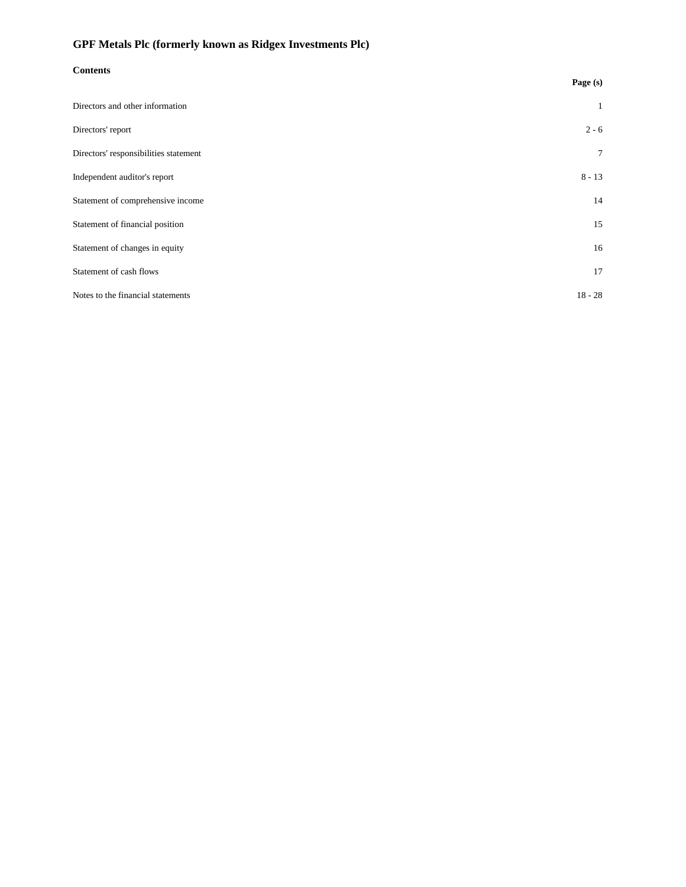| <b>Contents</b>                       |                |  |
|---------------------------------------|----------------|--|
|                                       | Page (s)       |  |
| Directors and other information       | $\mathbf{1}$   |  |
| Directors' report                     | $2 - 6$        |  |
| Directors' responsibilities statement | $\overline{7}$ |  |
| Independent auditor's report          | $8 - 13$       |  |
| Statement of comprehensive income     | 14             |  |
| Statement of financial position       | 15             |  |
| Statement of changes in equity        | 16             |  |
| Statement of cash flows               | 17             |  |
| Notes to the financial statements     | $18 - 28$      |  |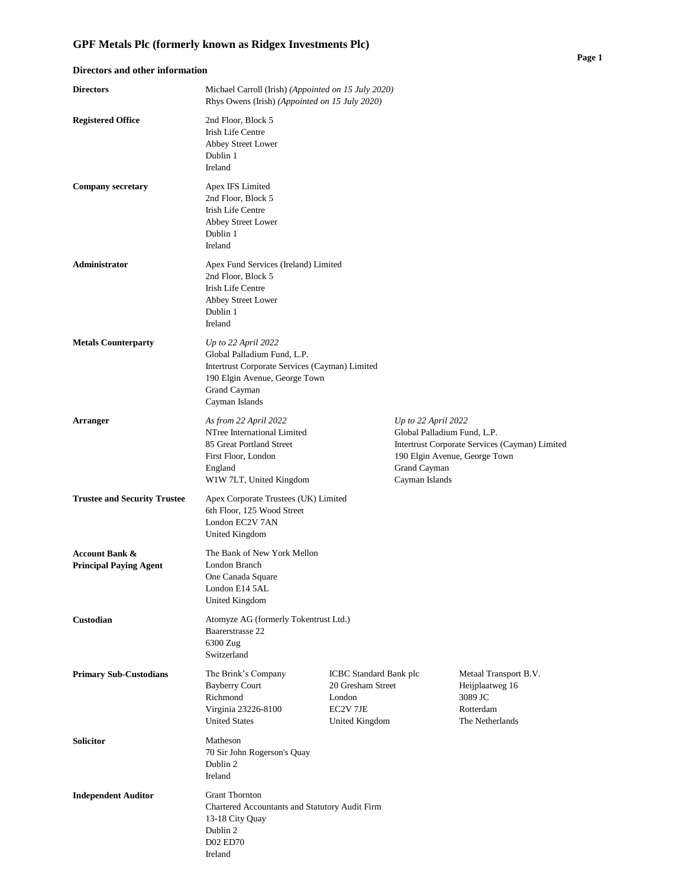**Principal Paying Agent** London Branch

One Canada Square London E14 5AL United Kingdom

D02 ED70 Ireland

| Directors and other information     |                                                                                                                                                                             |                                                                                                                                                                         |  |
|-------------------------------------|-----------------------------------------------------------------------------------------------------------------------------------------------------------------------------|-------------------------------------------------------------------------------------------------------------------------------------------------------------------------|--|
| <b>Directors</b>                    | Michael Carroll (Irish) (Appointed on 15 July 2020)<br>Rhys Owens (Irish) (Appointed on 15 July 2020)                                                                       |                                                                                                                                                                         |  |
| <b>Registered Office</b>            | 2nd Floor, Block 5<br><b>Irish Life Centre</b><br>Abbey Street Lower<br>Dublin 1<br>Ireland                                                                                 |                                                                                                                                                                         |  |
| <b>Company secretary</b>            | Apex IFS Limited<br>2nd Floor, Block 5<br>Irish Life Centre<br>Abbey Street Lower<br>Dublin 1<br>Ireland                                                                    |                                                                                                                                                                         |  |
| <b>Administrator</b>                | Apex Fund Services (Ireland) Limited<br>2nd Floor, Block 5<br><b>Irish Life Centre</b><br>Abbey Street Lower<br>Dublin 1<br>Ireland                                         |                                                                                                                                                                         |  |
| <b>Metals Counterparty</b>          | Up to $22$ April $2022$<br>Global Palladium Fund, L.P.<br>Intertrust Corporate Services (Cayman) Limited<br>190 Elgin Avenue, George Town<br>Grand Cayman<br>Cayman Islands |                                                                                                                                                                         |  |
| <b>Arranger</b>                     | As from 22 April 2022<br>NTree International Limited<br>85 Great Portland Street<br>First Floor, London<br>England<br>W1W 7LT, United Kingdom                               | Up to 22 April 2022<br>Global Palladium Fund, L.P.<br>Intertrust Corporate Services (Cayman) Limited<br>190 Elgin Avenue, George Town<br>Grand Cayman<br>Cayman Islands |  |
| <b>Trustee and Security Trustee</b> | Apex Corporate Trustees (UK) Limited<br>6th Floor, 125 Wood Street<br>London EC2V 7AN<br>United Kingdom                                                                     |                                                                                                                                                                         |  |
| <b>Account Bank &amp;</b>           | The Bank of New York Mellon                                                                                                                                                 |                                                                                                                                                                         |  |

# **Custodian** Atomyze AG (formerly Tokentrust Ltd.) Baarerstrasse 22 6300 Zug Switzerland **Primary Sub-Custodians** The Brink's Company ICBC Standard Bank plc Metaal Transport B.V. Bayberry Court 20 Gresham Street Heijplaatweg 16 Richmond London 3089 JC Virginia 23226-8100 EC2V 7JE Rotterdam United States United Kingdom The Netherlands **Solicitor** Matheson 70 Sir John Rogerson's Quay Dublin 2 Ireland **Independent Auditor** Grant Thornton Chartered Accountants and Statutory Audit Firm 13-18 City Quay Dublin 2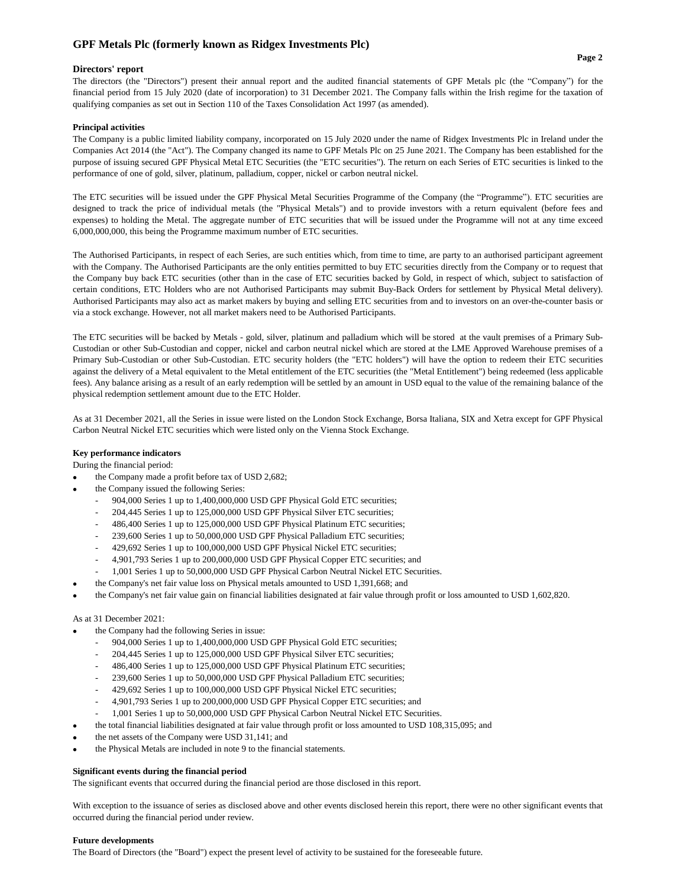## **Directors' report**

The directors (the "Directors") present their annual report and the audited financial statements of GPF Metals plc (the "Company") for the financial period from 15 July 2020 (date of incorporation) to 31 December 2021. The Company falls within the Irish regime for the taxation of qualifying companies as set out in Section 110 of the Taxes Consolidation Act 1997 (as amended).

### **Principal activities**

The Company is a public limited liability company, incorporated on 15 July 2020 under the name of Ridgex Investments Plc in Ireland under the Companies Act 2014 (the "Act"). The Company changed its name to GPF Metals Plc on 25 June 2021. The Company has been established for the purpose of issuing secured GPF Physical Metal ETC Securities (the "ETC securities"). The return on each Series of ETC securities is linked to the performance of one of gold, silver, platinum, palladium, copper, nickel or carbon neutral nickel.

The ETC securities will be issued under the GPF Physical Metal Securities Programme of the Company (the "Programme"). ETC securities are designed to track the price of individual metals (the "Physical Metals") and to provide investors with a return equivalent (before fees and expenses) to holding the Metal. The aggregate number of ETC securities that will be issued under the Programme will not at any time exceed 6,000,000,000, this being the Programme maximum number of ETC securities.

The Authorised Participants, in respect of each Series, are such entities which, from time to time, are party to an authorised participant agreement with the Company. The Authorised Participants are the only entities permitted to buy ETC securities directly from the Company or to request that the Company buy back ETC securities (other than in the case of ETC securities backed by Gold, in respect of which, subject to satisfaction of certain conditions, ETC Holders who are not Authorised Participants may submit Buy-Back Orders for settlement by Physical Metal delivery). Authorised Participants may also act as market makers by buying and selling ETC securities from and to investors on an over-the-counter basis or via a stock exchange. However, not all market makers need to be Authorised Participants.

The ETC securities will be backed by Metals - gold, silver, platinum and palladium which will be stored at the vault premises of a Primary Sub-Custodian or other Sub-Custodian and copper, nickel and carbon neutral nickel which are stored at the LME Approved Warehouse premises of a Primary Sub-Custodian or other Sub-Custodian. ETC security holders (the "ETC holders") will have the option to redeem their ETC securities against the delivery of a Metal equivalent to the Metal entitlement of the ETC securities (the "Metal Entitlement") being redeemed (less applicable fees). Any balance arising as a result of an early redemption will be settled by an amount in USD equal to the value of the remaining balance of the physical redemption settlement amount due to the ETC Holder.

As at 31 December 2021, all the Series in issue were listed on the London Stock Exchange, Borsa Italiana, SIX and Xetra except for GPF Physical Carbon Neutral Nickel ETC securities which were listed only on the Vienna Stock Exchange.

## **Key performance indicators**

During the financial period:

- the Company made a profit before tax of USD 2,682;
- the Company issued the following Series:
	- 904,000 Series 1 up to 1,400,000,000 USD GPF Physical Gold ETC securities;
	- 204,445 Series 1 up to 125,000,000 USD GPF Physical Silver ETC securities;
	- 486,400 Series 1 up to 125,000,000 USD GPF Physical Platinum ETC securities;
	- 239,600 Series 1 up to 50,000,000 USD GPF Physical Palladium ETC securities;
	- 429,692 Series 1 up to 100,000,000 USD GPF Physical Nickel ETC securities;
	- 4,901,793 Series 1 up to 200,000,000 USD GPF Physical Copper ETC securities; and
	- 1,001 Series 1 up to 50,000,000 USD GPF Physical Carbon Neutral Nickel ETC Securities.
	- the Company's net fair value loss on Physical metals amounted to USD 1,391,668; and
- the Company's net fair value gain on financial liabilities designated at fair value through profit or loss amounted to USD 1,602,820.

#### As at 31 December 2021:

•

- the Company had the following Series in issue:
	- 904,000 Series 1 up to 1,400,000,000 USD GPF Physical Gold ETC securities;
	- 204,445 Series 1 up to 125,000,000 USD GPF Physical Silver ETC securities;
	- 486,400 Series 1 up to 125,000,000 USD GPF Physical Platinum ETC securities;
	- 239,600 Series 1 up to 50,000,000 USD GPF Physical Palladium ETC securities;
	- 429,692 Series 1 up to 100,000,000 USD GPF Physical Nickel ETC securities;
	- 4,901,793 Series 1 up to 200,000,000 USD GPF Physical Copper ETC securities; and
	- 1,001 Series 1 up to 50,000,000 USD GPF Physical Carbon Neutral Nickel ETC Securities.
- the total financial liabilities designated at fair value through profit or loss amounted to USD 108,315,095; and
- the net assets of the Company were USD 31,141; and
- the Physical Metals are included in note 9 to the financial statements.

#### **Significant events during the financial period**

The significant events that occurred during the financial period are those disclosed in this report.

With exception to the issuance of series as disclosed above and other events disclosed herein this report, there were no other significant events that occurred during the financial period under review.

#### **Future developments**

The Board of Directors (the "Board") expect the present level of activity to be sustained for the foreseeable future.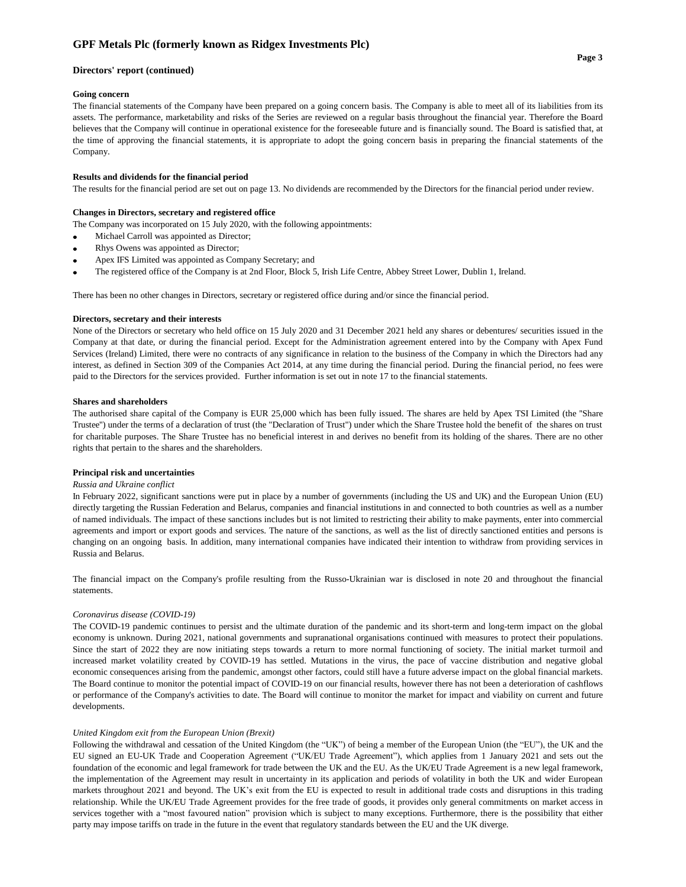#### **Directors' report (continued)**

#### **Going concern**

The financial statements of the Company have been prepared on a going concern basis. The Company is able to meet all of its liabilities from its assets. The performance, marketability and risks of the Series are reviewed on a regular basis throughout the financial year. Therefore the Board believes that the Company will continue in operational existence for the foreseeable future and is financially sound. The Board is satisfied that, at the time of approving the financial statements, it is appropriate to adopt the going concern basis in preparing the financial statements of the Company.

## **Results and dividends for the financial period**

The results for the financial period are set out on page 13. No dividends are recommended by the Directors for the financial period under review.

#### **Changes in Directors, secretary and registered office**

The Company was incorporated on 15 July 2020, with the following appointments:

- Michael Carroll was appointed as Director;
- Rhys Owens was appointed as Director;
- Apex IFS Limited was appointed as Company Secretary; and
- The registered office of the Company is at 2nd Floor, Block 5, Irish Life Centre, Abbey Street Lower, Dublin 1, Ireland.

There has been no other changes in Directors, secretary or registered office during and/or since the financial period.

#### **Directors, secretary and their interests**

None of the Directors or secretary who held office on 15 July 2020 and 31 December 2021 held any shares or debentures/ securities issued in the Company at that date, or during the financial period. Except for the Administration agreement entered into by the Company with Apex Fund Services (Ireland) Limited, there were no contracts of any significance in relation to the business of the Company in which the Directors had any interest, as defined in Section 309 of the Companies Act 2014, at any time during the financial period. During the financial period, no fees were paid to the Directors for the services provided. Further information is set out in note 17 to the financial statements.

#### **Shares and shareholders**

The authorised share capital of the Company is EUR 25,000 which has been fully issued. The shares are held by Apex TSI Limited (the ''Share Trustee'') under the terms of a declaration of trust (the "Declaration of Trust") under which the Share Trustee hold the benefit of the shares on trust for charitable purposes. The Share Trustee has no beneficial interest in and derives no benefit from its holding of the shares. There are no other rights that pertain to the shares and the shareholders.

#### **Principal risk and uncertainties**

#### *Russia and Ukraine conflict*

In February 2022, significant sanctions were put in place by a number of governments (including the US and UK) and the European Union (EU) directly targeting the Russian Federation and Belarus, companies and financial institutions in and connected to both countries as well as a number of named individuals. The impact of these sanctions includes but is not limited to restricting their ability to make payments, enter into commercial agreements and import or export goods and services. The nature of the sanctions, as well as the list of directly sanctioned entities and persons is changing on an ongoing basis. In addition, many international companies have indicated their intention to withdraw from providing services in Russia and Belarus.

The financial impact on the Company's profile resulting from the Russo-Ukrainian war is disclosed in note 20 and throughout the financial statements.

#### *Coronavirus disease (COVID-19)*

The COVID-19 pandemic continues to persist and the ultimate duration of the pandemic and its short-term and long-term impact on the global economy is unknown. During 2021, national governments and supranational organisations continued with measures to protect their populations. Since the start of 2022 they are now initiating steps towards a return to more normal functioning of society. The initial market turmoil and increased market volatility created by COVID-19 has settled. Mutations in the virus, the pace of vaccine distribution and negative global economic consequences arising from the pandemic, amongst other factors, could still have a future adverse impact on the global financial markets. The Board continue to monitor the potential impact of COVID-19 on our financial results, however there has not been a deterioration of cashflows or performance of the Company's activities to date. The Board will continue to monitor the market for impact and viability on current and future developments.

#### *United Kingdom exit from the European Union (Brexit)*

Following the withdrawal and cessation of the United Kingdom (the "UK") of being a member of the European Union (the "EU"), the UK and the EU signed an EU-UK Trade and Cooperation Agreement ("UK/EU Trade Agreement"), which applies from 1 January 2021 and sets out the foundation of the economic and legal framework for trade between the UK and the EU. As the UK/EU Trade Agreement is a new legal framework, the implementation of the Agreement may result in uncertainty in its application and periods of volatility in both the UK and wider European markets throughout 2021 and beyond. The UK's exit from the EU is expected to result in additional trade costs and disruptions in this trading relationship. While the UK/EU Trade Agreement provides for the free trade of goods, it provides only general commitments on market access in services together with a "most favoured nation" provision which is subject to many exceptions. Furthermore, there is the possibility that either party may impose tariffs on trade in the future in the event that regulatory standards between the EU and the UK diverge.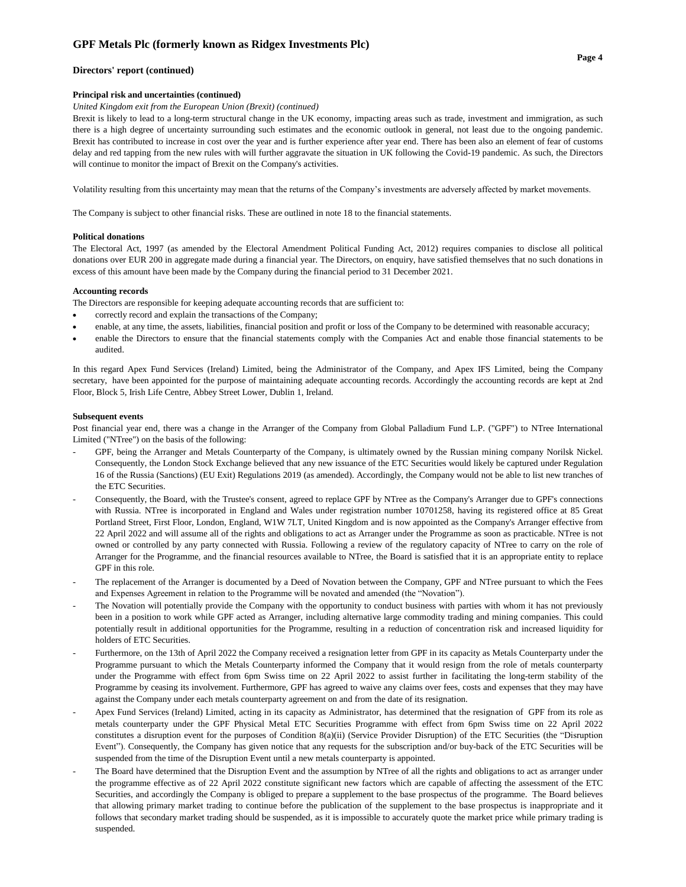## **Directors' report (continued)**

### **Principal risk and uncertainties (continued)**

## *United Kingdom exit from the European Union (Brexit) (continued)*

Brexit is likely to lead to a long-term structural change in the UK economy, impacting areas such as trade, investment and immigration, as such there is a high degree of uncertainty surrounding such estimates and the economic outlook in general, not least due to the ongoing pandemic. Brexit has contributed to increase in cost over the year and is further experience after year end. There has been also an element of fear of customs delay and red tapping from the new rules with will further aggravate the situation in UK following the Covid-19 pandemic. As such, the Directors will continue to monitor the impact of Brexit on the Company's activities.

Volatility resulting from this uncertainty may mean that the returns of the Company's investments are adversely affected by market movements.

The Company is subject to other financial risks. These are outlined in note 18 to the financial statements.

#### **Political donations**

The Electoral Act, 1997 (as amended by the Electoral Amendment Political Funding Act, 2012) requires companies to disclose all political donations over EUR 200 in aggregate made during a financial year. The Directors, on enquiry, have satisfied themselves that no such donations in excess of this amount have been made by the Company during the financial period to 31 December 2021.

#### **Accounting records**

The Directors are responsible for keeping adequate accounting records that are sufficient to:

- correctly record and explain the transactions of the Company;
- enable, at any time, the assets, liabilities, financial position and profit or loss of the Company to be determined with reasonable accuracy;
- enable the Directors to ensure that the financial statements comply with the Companies Act and enable those financial statements to be audited.

In this regard Apex Fund Services (Ireland) Limited, being the Administrator of the Company, and Apex IFS Limited, being the Company secretary, have been appointed for the purpose of maintaining adequate accounting records. Accordingly the accounting records are kept at 2nd Floor, Block 5, Irish Life Centre, Abbey Street Lower, Dublin 1, Ireland.

#### **Subsequent events**

Post financial year end, there was a change in the Arranger of the Company from Global Palladium Fund L.P. ("GPF") to NTree International Limited ("NTree") on the basis of the following:

- GPF, being the Arranger and Metals Counterparty of the Company, is ultimately owned by the Russian mining company Norilsk Nickel. Consequently, the London Stock Exchange believed that any new issuance of the ETC Securities would likely be captured under Regulation 16 of the Russia (Sanctions) (EU Exit) Regulations 2019 (as amended). Accordingly, the Company would not be able to list new tranches of the ETC Securities.
- Consequently, the Board, with the Trustee's consent, agreed to replace GPF by NTree as the Company's Arranger due to GPF's connections with Russia. NTree is incorporated in England and Wales under registration number 10701258, having its registered office at 85 Great Portland Street, First Floor, London, England, W1W 7LT, United Kingdom and is now appointed as the Company's Arranger effective from 22 April 2022 and will assume all of the rights and obligations to act as Arranger under the Programme as soon as practicable. NTree is not owned or controlled by any party connected with Russia. Following a review of the regulatory capacity of NTree to carry on the role of Arranger for the Programme, and the financial resources available to NTree, the Board is satisfied that it is an appropriate entity to replace GPF in this role.
- The replacement of the Arranger is documented by a Deed of Novation between the Company, GPF and NTree pursuant to which the Fees and Expenses Agreement in relation to the Programme will be novated and amended (the "Novation").
- The Novation will potentially provide the Company with the opportunity to conduct business with parties with whom it has not previously been in a position to work while GPF acted as Arranger, including alternative large commodity trading and mining companies. This could potentially result in additional opportunities for the Programme, resulting in a reduction of concentration risk and increased liquidity for holders of ETC Securities.
- Furthermore, on the 13th of April 2022 the Company received a resignation letter from GPF in its capacity as Metals Counterparty under the Programme pursuant to which the Metals Counterparty informed the Company that it would resign from the role of metals counterparty under the Programme with effect from 6pm Swiss time on 22 April 2022 to assist further in facilitating the long-term stability of the Programme by ceasing its involvement. Furthermore, GPF has agreed to waive any claims over fees, costs and expenses that they may have against the Company under each metals counterparty agreement on and from the date of its resignation.
- Apex Fund Services (Ireland) Limited, acting in its capacity as Administrator, has determined that the resignation of GPF from its role as metals counterparty under the GPF Physical Metal ETC Securities Programme with effect from 6pm Swiss time on 22 April 2022 constitutes a disruption event for the purposes of Condition 8(a)(ii) (Service Provider Disruption) of the ETC Securities (the "Disruption Event"). Consequently, the Company has given notice that any requests for the subscription and/or buy-back of the ETC Securities will be suspended from the time of the Disruption Event until a new metals counterparty is appointed.
- The Board have determined that the Disruption Event and the assumption by NTree of all the rights and obligations to act as arranger under the programme effective as of 22 April 2022 constitute significant new factors which are capable of affecting the assessment of the ETC Securities, and accordingly the Company is obliged to prepare a supplement to the base prospectus of the programme. The Board believes that allowing primary market trading to continue before the publication of the supplement to the base prospectus is inappropriate and it follows that secondary market trading should be suspended, as it is impossible to accurately quote the market price while primary trading is suspended.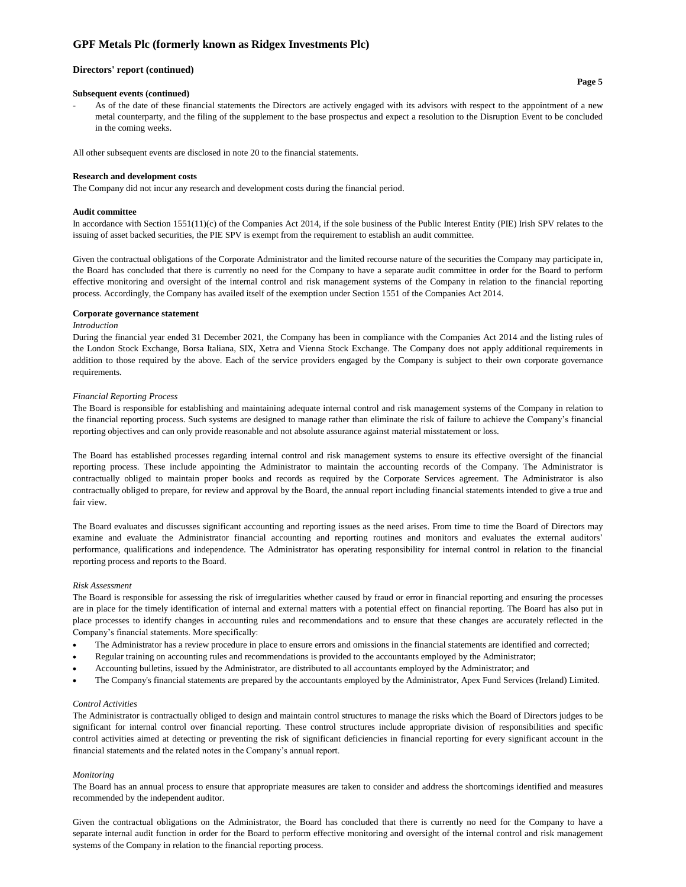#### **Directors' report (continued)**

#### **Subsequent events (continued)**

- As of the date of these financial statements the Directors are actively engaged with its advisors with respect to the appointment of a new metal counterparty, and the filing of the supplement to the base prospectus and expect a resolution to the Disruption Event to be concluded in the coming weeks.

All other subsequent events are disclosed in note 20 to the financial statements.

#### **Research and development costs**

The Company did not incur any research and development costs during the financial period.

#### **Audit committee**

In accordance with Section 1551(11)(c) of the Companies Act 2014, if the sole business of the Public Interest Entity (PIE) Irish SPV relates to the issuing of asset backed securities, the PIE SPV is exempt from the requirement to establish an audit committee.

Given the contractual obligations of the Corporate Administrator and the limited recourse nature of the securities the Company may participate in, the Board has concluded that there is currently no need for the Company to have a separate audit committee in order for the Board to perform effective monitoring and oversight of the internal control and risk management systems of the Company in relation to the financial reporting process. Accordingly, the Company has availed itself of the exemption under Section 1551 of the Companies Act 2014.

#### **Corporate governance statement**

#### *Introduction*

During the financial year ended 31 December 2021, the Company has been in compliance with the Companies Act 2014 and the listing rules of the London Stock Exchange, Borsa Italiana, SIX, Xetra and Vienna Stock Exchange. The Company does not apply additional requirements in addition to those required by the above. Each of the service providers engaged by the Company is subject to their own corporate governance requirements.

#### *Financial Reporting Process*

The Board is responsible for establishing and maintaining adequate internal control and risk management systems of the Company in relation to the financial reporting process. Such systems are designed to manage rather than eliminate the risk of failure to achieve the Company's financial reporting objectives and can only provide reasonable and not absolute assurance against material misstatement or loss.

The Board has established processes regarding internal control and risk management systems to ensure its effective oversight of the financial reporting process. These include appointing the Administrator to maintain the accounting records of the Company. The Administrator is contractually obliged to maintain proper books and records as required by the Corporate Services agreement. The Administrator is also contractually obliged to prepare, for review and approval by the Board, the annual report including financial statements intended to give a true and fair view.

The Board evaluates and discusses significant accounting and reporting issues as the need arises. From time to time the Board of Directors may examine and evaluate the Administrator financial accounting and reporting routines and monitors and evaluates the external auditors' performance, qualifications and independence. The Administrator has operating responsibility for internal control in relation to the financial reporting process and reports to the Board.

#### *Risk Assessment*

The Board is responsible for assessing the risk of irregularities whether caused by fraud or error in financial reporting and ensuring the processes are in place for the timely identification of internal and external matters with a potential effect on financial reporting. The Board has also put in place processes to identify changes in accounting rules and recommendations and to ensure that these changes are accurately reflected in the Company's financial statements. More specifically:

- The Administrator has a review procedure in place to ensure errors and omissions in the financial statements are identified and corrected;
- Regular training on accounting rules and recommendations is provided to the accountants employed by the Administrator;
- Accounting bulletins, issued by the Administrator, are distributed to all accountants employed by the Administrator; and
- The Company's financial statements are prepared by the accountants employed by the Administrator, Apex Fund Services (Ireland) Limited.

#### *Control Activities*

The Administrator is contractually obliged to design and maintain control structures to manage the risks which the Board of Directors judges to be significant for internal control over financial reporting. These control structures include appropriate division of responsibilities and specific control activities aimed at detecting or preventing the risk of significant deficiencies in financial reporting for every significant account in the financial statements and the related notes in the Company's annual report.

#### *Monitoring*

The Board has an annual process to ensure that appropriate measures are taken to consider and address the shortcomings identified and measures recommended by the independent auditor.

Given the contractual obligations on the Administrator, the Board has concluded that there is currently no need for the Company to have a separate internal audit function in order for the Board to perform effective monitoring and oversight of the internal control and risk management systems of the Company in relation to the financial reporting process.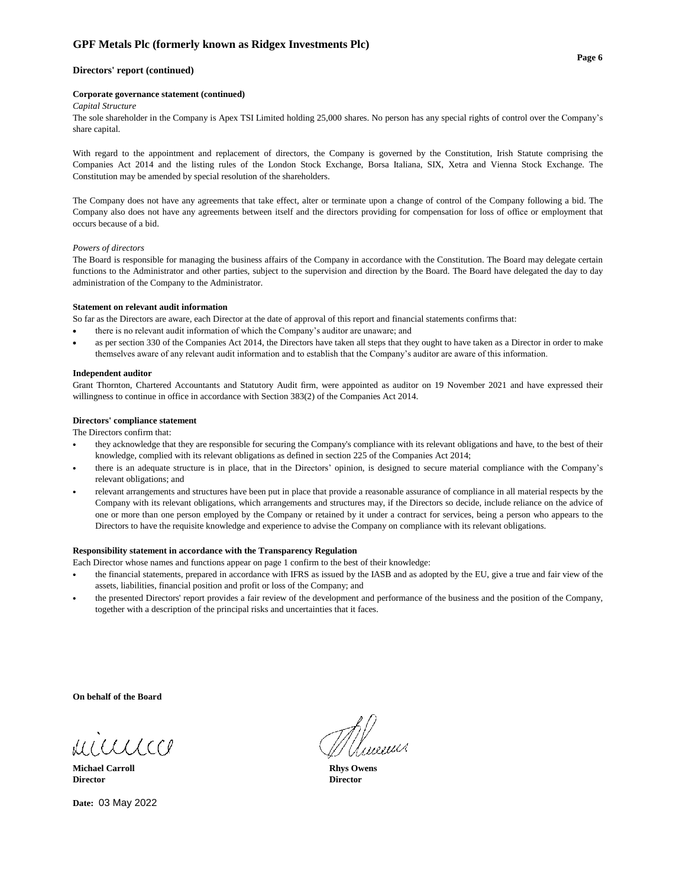## **Directors' report (continued)**

#### **Corporate governance statement (continued)**

### *Capital Structure*

The sole shareholder in the Company is Apex TSI Limited holding 25,000 shares. No person has any special rights of control over the Company's share capital.

With regard to the appointment and replacement of directors, the Company is governed by the Constitution, Irish Statute comprising the Companies Act 2014 and the listing rules of the London Stock Exchange, Borsa Italiana, SIX, Xetra and Vienna Stock Exchange. The Constitution may be amended by special resolution of the shareholders.

The Company does not have any agreements that take effect, alter or terminate upon a change of control of the Company following a bid. The Company also does not have any agreements between itself and the directors providing for compensation for loss of office or employment that occurs because of a bid.

### *Powers of directors*

The Board is responsible for managing the business affairs of the Company in accordance with the Constitution. The Board may delegate certain functions to the Administrator and other parties, subject to the supervision and direction by the Board. The Board have delegated the day to day administration of the Company to the Administrator.

#### **Statement on relevant audit information**

So far as the Directors are aware, each Director at the date of approval of this report and financial statements confirms that:

- there is no relevant audit information of which the Company's auditor are unaware; and
- as per section 330 of the Companies Act 2014, the Directors have taken all steps that they ought to have taken as a Director in order to make themselves aware of any relevant audit information and to establish that the Company's auditor are aware of this information.

#### **Independent auditor**

Grant Thornton, Chartered Accountants and Statutory Audit firm, were appointed as auditor on 19 November 2021 and have expressed their willingness to continue in office in accordance with Section 383(2) of the Companies Act 2014.

#### **Directors' compliance statement**

The Directors confirm that:

- **•** they acknowledge that they are responsible for securing the Company's compliance with its relevant obligations and have, to the best of their knowledge, complied with its relevant obligations as defined in section 225 of the Companies Act 2014;
- **•** there is an adequate structure is in place, that in the Directors' opinion, is designed to secure material compliance with the Company's relevant obligations; and
- **•** relevant arrangements and structures have been put in place that provide a reasonable assurance of compliance in all material respects by the Company with its relevant obligations, which arrangements and structures may, if the Directors so decide, include reliance on the advice of one or more than one person employed by the Company or retained by it under a contract for services, being a person who appears to the Directors to have the requisite knowledge and experience to advise the Company on compliance with its relevant obligations.

### **Responsibility statement in accordance with the Transparency Regulation**

Each Director whose names and functions appear on page 1 confirm to the best of their knowledge:

- **•** the financial statements, prepared in accordance with IFRS as issued by the IASB and as adopted by the EU, give a true and fair view of the assets, liabilities, financial position and profit or loss of the Company; and
- **•** the presented Directors' report provides a fair review of the development and performance of the business and the position of the Company, together with a description of the principal risks and uncertainties that it faces.

**On behalf of the Board**

MICCLLCCP

**Michael Carroll Rhys Owens Director Director**

**Date:**  03 May 2022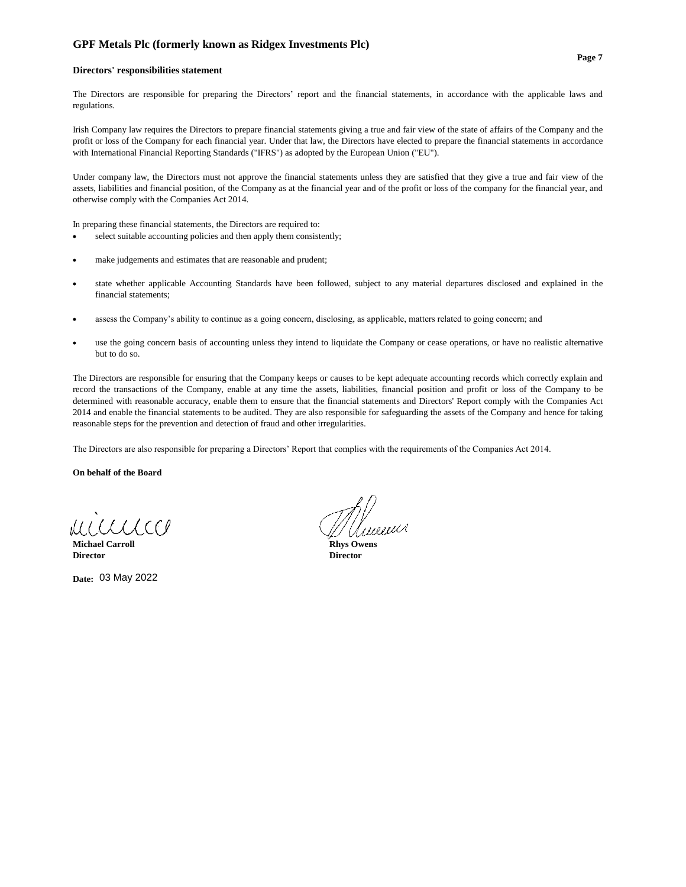#### **Directors' responsibilities statement**

The Directors are responsible for preparing the Directors' report and the financial statements, in accordance with the applicable laws and regulations.

Irish Company law requires the Directors to prepare financial statements giving a true and fair view of the state of affairs of the Company and the profit or loss of the Company for each financial year. Under that law, the Directors have elected to prepare the financial statements in accordance with International Financial Reporting Standards ("IFRS") as adopted by the European Union ("EU").

Under company law, the Directors must not approve the financial statements unless they are satisfied that they give a true and fair view of the assets, liabilities and financial position, of the Company as at the financial year and of the profit or loss of the company for the financial year, and otherwise comply with the Companies Act 2014.

In preparing these financial statements, the Directors are required to:

- select suitable accounting policies and then apply them consistently;
- make judgements and estimates that are reasonable and prudent;
- state whether applicable Accounting Standards have been followed, subject to any material departures disclosed and explained in the financial statements;
- assess the Company's ability to continue as a going concern, disclosing, as applicable, matters related to going concern; and
- use the going concern basis of accounting unless they intend to liquidate the Company or cease operations, or have no realistic alternative but to do so.

The Directors are responsible for ensuring that the Company keeps or causes to be kept adequate accounting records which correctly explain and record the transactions of the Company, enable at any time the assets, liabilities, financial position and profit or loss of the Company to be determined with reasonable accuracy, enable them to ensure that the financial statements and Directors' Report comply with the Companies Act 2014 and enable the financial statements to be audited. They are also responsible for safeguarding the assets of the Company and hence for taking reasonable steps for the prevention and detection of fraud and other irregularities.

The Directors are also responsible for preparing a Directors' Report that complies with the requirements of the Companies Act 2014.

**On behalf of the Board**

RALLA LECP

**Michael Carroll Rhys Owens Director Director**

**Date:**  03 May 2022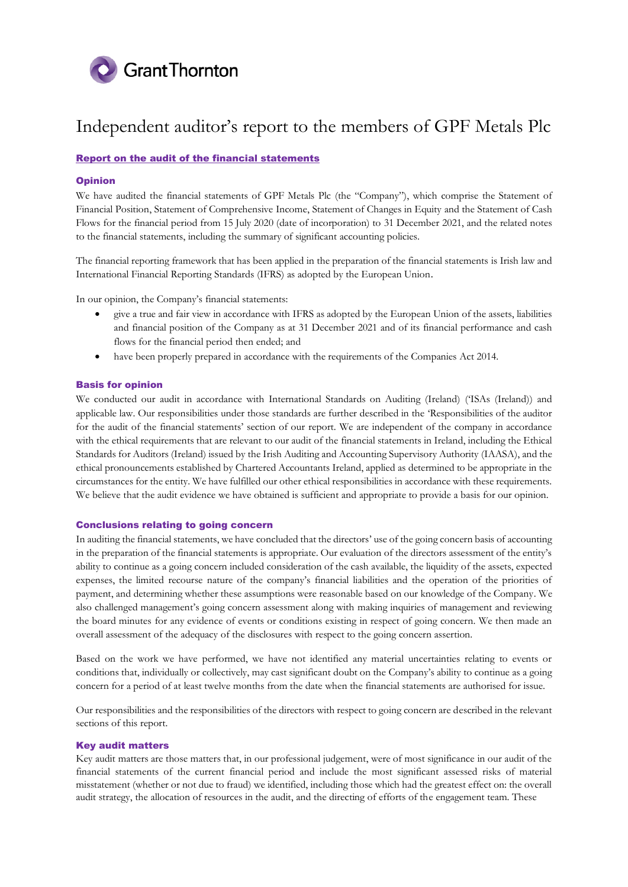

# Report on the audit of the financial statements

# Opinion

We have audited the financial statements of GPF Metals Plc (the "Company"), which comprise the Statement of Financial Position, Statement of Comprehensive Income, Statement of Changes in Equity and the Statement of Cash Flows for the financial period from 15 July 2020 (date of incorporation) to 31 December 2021, and the related notes to the financial statements, including the summary of significant accounting policies.

The financial reporting framework that has been applied in the preparation of the financial statements is Irish law and International Financial Reporting Standards (IFRS) as adopted by the European Union.

In our opinion, the Company's financial statements:

- give a true and fair view in accordance with IFRS as adopted by the European Union of the assets, liabilities and financial position of the Company as at 31 December 2021 and of its financial performance and cash flows for the financial period then ended; and
- have been properly prepared in accordance with the requirements of the Companies Act 2014.

## Basis for opinion

We conducted our audit in accordance with International Standards on Auditing (Ireland) ('ISAs (Ireland)) and applicable law. Our responsibilities under those standards are further described in the 'Responsibilities of the auditor for the audit of the financial statements' section of our report. We are independent of the company in accordance with the ethical requirements that are relevant to our audit of the financial statements in Ireland, including the Ethical Standards for Auditors (Ireland) issued by the Irish Auditing and Accounting Supervisory Authority (IAASA), and the ethical pronouncements established by Chartered Accountants Ireland, applied as determined to be appropriate in the circumstances for the entity. We have fulfilled our other ethical responsibilities in accordance with these requirements. We believe that the audit evidence we have obtained is sufficient and appropriate to provide a basis for our opinion.

## Conclusions relating to going concern

In auditing the financial statements, we have concluded that the directors' use of the going concern basis of accounting in the preparation of the financial statements is appropriate. Our evaluation of the directors assessment of the entity's ability to continue as a going concern included consideration of the cash available, the liquidity of the assets, expected expenses, the limited recourse nature of the company's financial liabilities and the operation of the priorities of payment, and determining whether these assumptions were reasonable based on our knowledge of the Company. We also challenged management's going concern assessment along with making inquiries of management and reviewing the board minutes for any evidence of events or conditions existing in respect of going concern. We then made an overall assessment of the adequacy of the disclosures with respect to the going concern assertion.

Based on the work we have performed, we have not identified any material uncertainties relating to events or conditions that, individually or collectively, may cast significant doubt on the Company's ability to continue as a going concern for a period of at least twelve months from the date when the financial statements are authorised for issue.

Our responsibilities and the responsibilities of the directors with respect to going concern are described in the relevant sections of this report.

## Key audit matters

Key audit matters are those matters that, in our professional judgement, were of most significance in our audit of the financial statements of the current financial period and include the most significant assessed risks of material misstatement (whether or not due to fraud) we identified, including those which had the greatest effect on: the overall audit strategy, the allocation of resources in the audit, and the directing of efforts of the engagement team. These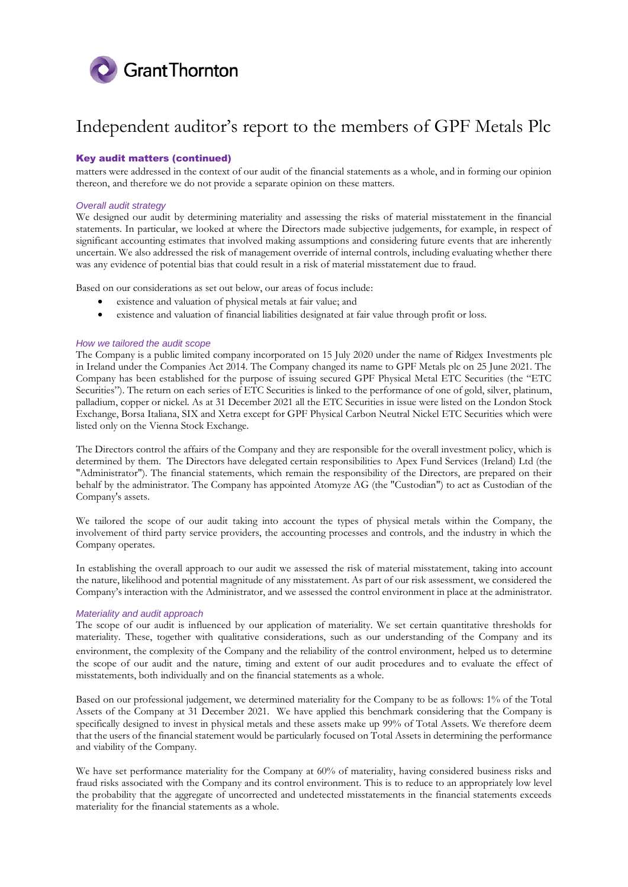

# Key audit matters (continued)

matters were addressed in the context of our audit of the financial statements as a whole, and in forming our opinion thereon, and therefore we do not provide a separate opinion on these matters.

## *Overall audit strategy*

We designed our audit by determining materiality and assessing the risks of material misstatement in the financial statements. In particular, we looked at where the Directors made subjective judgements, for example, in respect of significant accounting estimates that involved making assumptions and considering future events that are inherently uncertain. We also addressed the risk of management override of internal controls, including evaluating whether there was any evidence of potential bias that could result in a risk of material misstatement due to fraud.

Based on our considerations as set out below, our areas of focus include:

- existence and valuation of physical metals at fair value; and
- existence and valuation of financial liabilities designated at fair value through profit or loss.

## *How we tailored the audit scope*

The Company is a public limited company incorporated on 15 July 2020 under the name of Ridgex Investments plc in Ireland under the Companies Act 2014. The Company changed its name to GPF Metals plc on 25 June 2021. The Company has been established for the purpose of issuing secured GPF Physical Metal ETC Securities (the "ETC Securities"). The return on each series of ETC Securities is linked to the performance of one of gold, silver, platinum, palladium, copper or nickel. As at 31 December 2021 all the ETC Securities in issue were listed on the London Stock Exchange, Borsa Italiana, SIX and Xetra except for GPF Physical Carbon Neutral Nickel ETC Securities which were listed only on the Vienna Stock Exchange.

The Directors control the affairs of the Company and they are responsible for the overall investment policy, which is determined by them. The Directors have delegated certain responsibilities to Apex Fund Services (Ireland) Ltd (the "Administrator"). The financial statements, which remain the responsibility of the Directors, are prepared on their behalf by the administrator. The Company has appointed Atomyze AG (the "Custodian") to act as Custodian of the Company's assets.

We tailored the scope of our audit taking into account the types of physical metals within the Company, the involvement of third party service providers, the accounting processes and controls, and the industry in which the Company operates.

In establishing the overall approach to our audit we assessed the risk of material misstatement, taking into account the nature, likelihood and potential magnitude of any misstatement. As part of our risk assessment, we considered the Company's interaction with the Administrator, and we assessed the control environment in place at the administrator.

## *Materiality and audit approach*

The scope of our audit is influenced by our application of materiality. We set certain quantitative thresholds for materiality. These, together with qualitative considerations, such as our understanding of the Company and its environment, the complexity of the Company and the reliability of the control environment, helped us to determine the scope of our audit and the nature, timing and extent of our audit procedures and to evaluate the effect of misstatements, both individually and on the financial statements as a whole.

Based on our professional judgement, we determined materiality for the Company to be as follows: 1% of the Total Assets of the Company at 31 December 2021. We have applied this benchmark considering that the Company is specifically designed to invest in physical metals and these assets make up 99% of Total Assets. We therefore deem that the users of the financial statement would be particularly focused on Total Assets in determining the performance and viability of the Company.

We have set performance materiality for the Company at 60% of materiality, having considered business risks and fraud risks associated with the Company and its control environment. This is to reduce to an appropriately low level the probability that the aggregate of uncorrected and undetected misstatements in the financial statements exceeds materiality for the financial statements as a whole.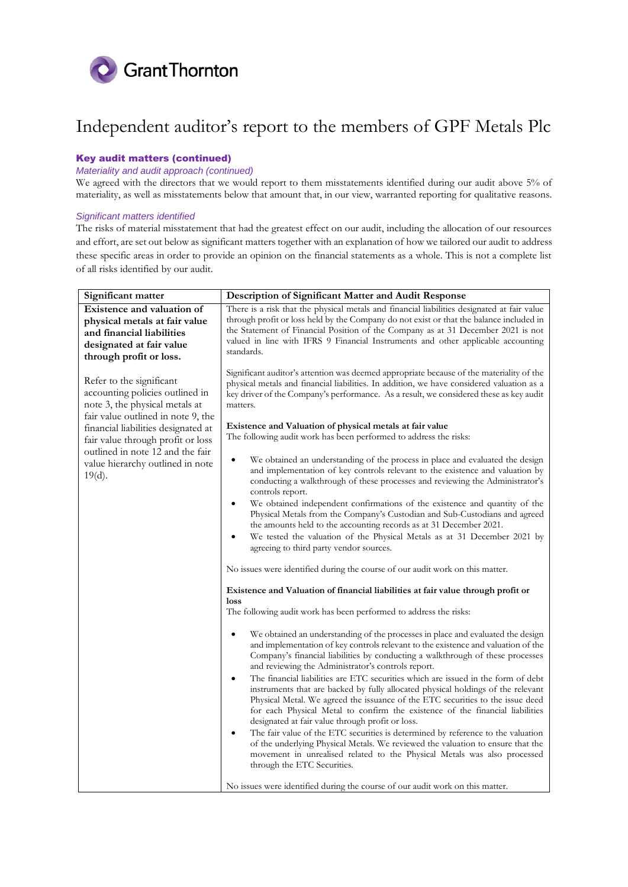

# Key audit matters (continued)

# *Materiality and audit approach (continued)*

We agreed with the directors that we would report to them misstatements identified during our audit above 5% of materiality, as well as misstatements below that amount that, in our view, warranted reporting for qualitative reasons.

# *Significant matters identified*

The risks of material misstatement that had the greatest effect on our audit, including the allocation of our resources and effort, are set out below as significant matters together with an explanation of how we tailored our audit to address these specific areas in order to provide an opinion on the financial statements as a whole. This is not a complete list of all risks identified by our audit.

| Significant matter                                                                                                                                                                                                                                                                                                              | Description of Significant Matter and Audit Response                                                                                                                                                                                                                                                                                                                                                                                                                                                                                                                                                                                                                                                                                                                                                                                                                                                                                                                                                                                                                                                                                                                                                                                                                                                                                                                                                                                                                                                                                                                                                                                                                                                                                                                                                                                                                                                                                                                                                                                                                                                                                                                                                                                                                                                                                                                                           |
|---------------------------------------------------------------------------------------------------------------------------------------------------------------------------------------------------------------------------------------------------------------------------------------------------------------------------------|------------------------------------------------------------------------------------------------------------------------------------------------------------------------------------------------------------------------------------------------------------------------------------------------------------------------------------------------------------------------------------------------------------------------------------------------------------------------------------------------------------------------------------------------------------------------------------------------------------------------------------------------------------------------------------------------------------------------------------------------------------------------------------------------------------------------------------------------------------------------------------------------------------------------------------------------------------------------------------------------------------------------------------------------------------------------------------------------------------------------------------------------------------------------------------------------------------------------------------------------------------------------------------------------------------------------------------------------------------------------------------------------------------------------------------------------------------------------------------------------------------------------------------------------------------------------------------------------------------------------------------------------------------------------------------------------------------------------------------------------------------------------------------------------------------------------------------------------------------------------------------------------------------------------------------------------------------------------------------------------------------------------------------------------------------------------------------------------------------------------------------------------------------------------------------------------------------------------------------------------------------------------------------------------------------------------------------------------------------------------------------------------|
| Existence and valuation of                                                                                                                                                                                                                                                                                                      | There is a risk that the physical metals and financial liabilities designated at fair value                                                                                                                                                                                                                                                                                                                                                                                                                                                                                                                                                                                                                                                                                                                                                                                                                                                                                                                                                                                                                                                                                                                                                                                                                                                                                                                                                                                                                                                                                                                                                                                                                                                                                                                                                                                                                                                                                                                                                                                                                                                                                                                                                                                                                                                                                                    |
| physical metals at fair value                                                                                                                                                                                                                                                                                                   | through profit or loss held by the Company do not exist or that the balance included in                                                                                                                                                                                                                                                                                                                                                                                                                                                                                                                                                                                                                                                                                                                                                                                                                                                                                                                                                                                                                                                                                                                                                                                                                                                                                                                                                                                                                                                                                                                                                                                                                                                                                                                                                                                                                                                                                                                                                                                                                                                                                                                                                                                                                                                                                                        |
| and financial liabilities                                                                                                                                                                                                                                                                                                       | the Statement of Financial Position of the Company as at 31 December 2021 is not                                                                                                                                                                                                                                                                                                                                                                                                                                                                                                                                                                                                                                                                                                                                                                                                                                                                                                                                                                                                                                                                                                                                                                                                                                                                                                                                                                                                                                                                                                                                                                                                                                                                                                                                                                                                                                                                                                                                                                                                                                                                                                                                                                                                                                                                                                               |
| designated at fair value                                                                                                                                                                                                                                                                                                        | valued in line with IFRS 9 Financial Instruments and other applicable accounting<br>standards.                                                                                                                                                                                                                                                                                                                                                                                                                                                                                                                                                                                                                                                                                                                                                                                                                                                                                                                                                                                                                                                                                                                                                                                                                                                                                                                                                                                                                                                                                                                                                                                                                                                                                                                                                                                                                                                                                                                                                                                                                                                                                                                                                                                                                                                                                                 |
|                                                                                                                                                                                                                                                                                                                                 |                                                                                                                                                                                                                                                                                                                                                                                                                                                                                                                                                                                                                                                                                                                                                                                                                                                                                                                                                                                                                                                                                                                                                                                                                                                                                                                                                                                                                                                                                                                                                                                                                                                                                                                                                                                                                                                                                                                                                                                                                                                                                                                                                                                                                                                                                                                                                                                                |
| through profit or loss.<br>Refer to the significant<br>accounting policies outlined in<br>note 3, the physical metals at<br>fair value outlined in note 9, the<br>financial liabilities designated at<br>fair value through profit or loss<br>outlined in note 12 and the fair<br>value hierarchy outlined in note<br>$19(d)$ . | Significant auditor's attention was deemed appropriate because of the materiality of the<br>physical metals and financial liabilities. In addition, we have considered valuation as a<br>key driver of the Company's performance. As a result, we considered these as key audit<br>matters.<br>Existence and Valuation of physical metals at fair value<br>The following audit work has been performed to address the risks:<br>We obtained an understanding of the process in place and evaluated the design<br>$\bullet$<br>and implementation of key controls relevant to the existence and valuation by<br>conducting a walkthrough of these processes and reviewing the Administrator's<br>controls report.<br>We obtained independent confirmations of the existence and quantity of the<br>$\bullet$<br>Physical Metals from the Company's Custodian and Sub-Custodians and agreed<br>the amounts held to the accounting records as at 31 December 2021.<br>We tested the valuation of the Physical Metals as at 31 December 2021 by<br>$\bullet$<br>agreeing to third party vendor sources.<br>No issues were identified during the course of our audit work on this matter.<br>Existence and Valuation of financial liabilities at fair value through profit or<br>loss<br>The following audit work has been performed to address the risks:<br>We obtained an understanding of the processes in place and evaluated the design<br>$\bullet$<br>and implementation of key controls relevant to the existence and valuation of the<br>Company's financial liabilities by conducting a walkthrough of these processes<br>and reviewing the Administrator's controls report.<br>The financial liabilities are ETC securities which are issued in the form of debt<br>$\bullet$<br>instruments that are backed by fully allocated physical holdings of the relevant<br>Physical Metal. We agreed the issuance of the ETC securities to the issue deed<br>for each Physical Metal to confirm the existence of the financial liabilities<br>designated at fair value through profit or loss.<br>The fair value of the ETC securities is determined by reference to the valuation<br>$\bullet$<br>of the underlying Physical Metals. We reviewed the valuation to ensure that the<br>movement in unrealised related to the Physical Metals was also processed<br>through the ETC Securities. |
|                                                                                                                                                                                                                                                                                                                                 | No issues were identified during the course of our audit work on this matter.                                                                                                                                                                                                                                                                                                                                                                                                                                                                                                                                                                                                                                                                                                                                                                                                                                                                                                                                                                                                                                                                                                                                                                                                                                                                                                                                                                                                                                                                                                                                                                                                                                                                                                                                                                                                                                                                                                                                                                                                                                                                                                                                                                                                                                                                                                                  |
|                                                                                                                                                                                                                                                                                                                                 |                                                                                                                                                                                                                                                                                                                                                                                                                                                                                                                                                                                                                                                                                                                                                                                                                                                                                                                                                                                                                                                                                                                                                                                                                                                                                                                                                                                                                                                                                                                                                                                                                                                                                                                                                                                                                                                                                                                                                                                                                                                                                                                                                                                                                                                                                                                                                                                                |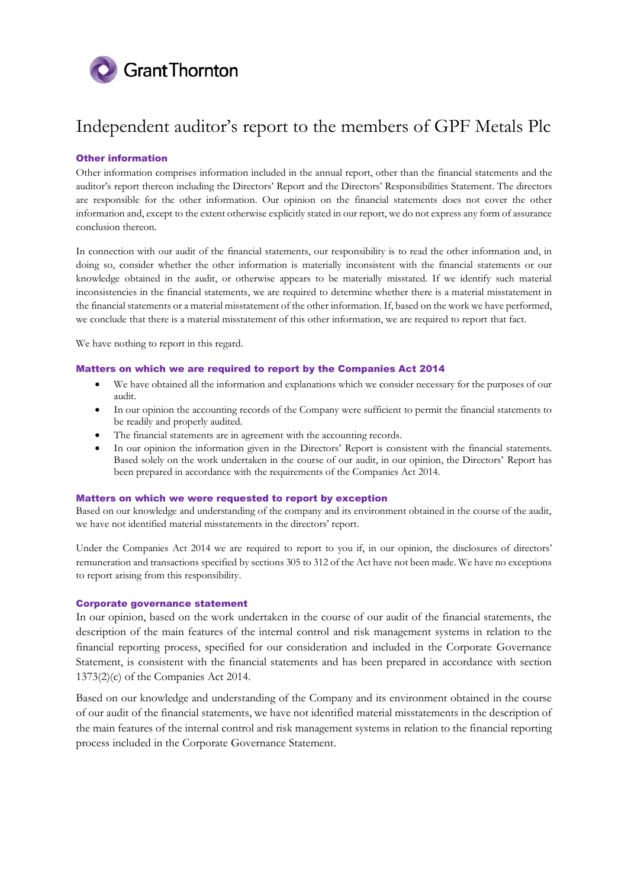

# Other information

Other information comprises information included in the annual report, other than the financial statements and the auditor's report thereon including the Directors' Report and the Directors' Responsibilities Statement. The directors are responsible for the other information. Our opinion on the financial statements does not cover the other information and, except to the extent otherwise explicitly stated in our report, we do not express any form of assurance conclusion thereon.

In connection with our audit of the financial statements, our responsibility is to read the other information and, in doing so, consider whether the other information is materially inconsistent with the financial statements or our knowledge obtained in the audit, or otherwise appears to be materially misstated. If we identify such material inconsistencies in the financial statements, we are required to determine whether there is a material misstatement in the financial statements or a material misstatement of the other information. If, based on the work we have performed, we conclude that there is a material misstatement of this other information, we are required to report that fact.

We have nothing to report in this regard.

# Matters on which we are required to report by the Companies Act 2014

- We have obtained all the information and explanations which we consider necessary for the purposes of our audit.
- In our opinion the accounting records of the Company were sufficient to permit the financial statements to be readily and properly audited.
- The financial statements are in agreement with the accounting records.
- In our opinion the information given in the Directors' Report is consistent with the financial statements. Based solely on the work undertaken in the course of our audit, in our opinion, the Directors' Report has been prepared in accordance with the requirements of the Companies Act 2014.

## Matters on which we were requested to report by exception

Based on our knowledge and understanding of the company and its environment obtained in the course of the audit, we have not identified material misstatements in the directors' report.

Under the Companies Act 2014 we are required to report to you if, in our opinion, the disclosures of directors' remuneration and transactions specified by sections 305 to 312 of the Act have not been made. We have no exceptions to report arising from this responsibility.

# Corporate governance statement

In our opinion, based on the work undertaken in the course of our audit of the financial statements, the description of the main features of the internal control and risk management systems in relation to the financial reporting process, specified for our consideration and included in the Corporate Governance Statement, is consistent with the financial statements and has been prepared in accordance with section 1373(2)(c) of the Companies Act 2014.

Based on our knowledge and understanding of the Company and its environment obtained in the course of our audit of the financial statements, we have not identified material misstatements in the description of the main features of the internal control and risk management systems in relation to the financial reporting process included in the Corporate Governance Statement.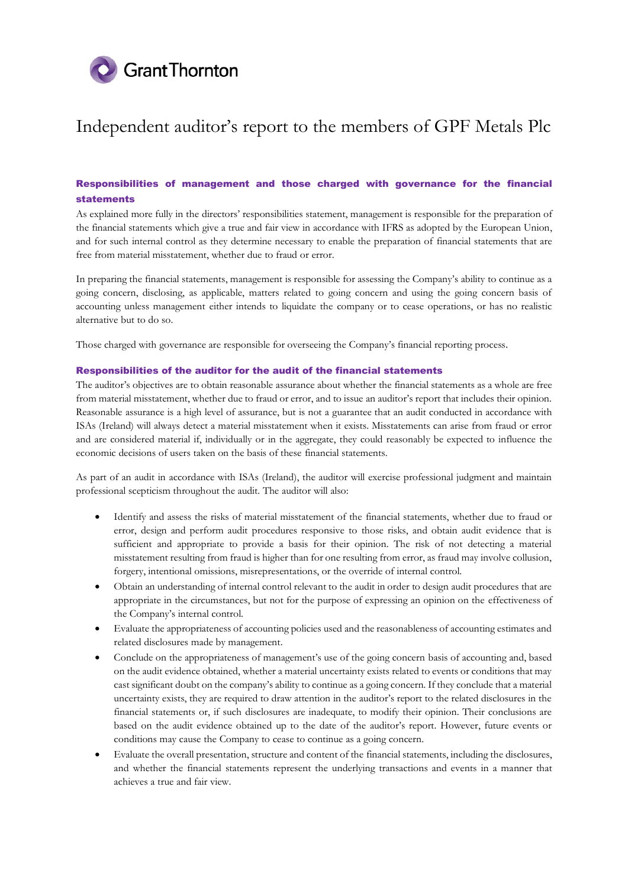

# Responsibilities of management and those charged with governance for the financial statements

As explained more fully in the directors' responsibilities statement, management is responsible for the preparation of the financial statements which give a true and fair view in accordance with IFRS as adopted by the European Union, and for such internal control as they determine necessary to enable the preparation of financial statements that are free from material misstatement, whether due to fraud or error.

In preparing the financial statements, management is responsible for assessing the Company's ability to continue as a going concern, disclosing, as applicable, matters related to going concern and using the going concern basis of accounting unless management either intends to liquidate the company or to cease operations, or has no realistic alternative but to do so.

Those charged with governance are responsible for overseeing the Company's financial reporting process.

# Responsibilities of the auditor for the audit of the financial statements

The auditor's objectives are to obtain reasonable assurance about whether the financial statements as a whole are free from material misstatement, whether due to fraud or error, and to issue an auditor's report that includes their opinion. Reasonable assurance is a high level of assurance, but is not a guarantee that an audit conducted in accordance with ISAs (Ireland) will always detect a material misstatement when it exists. Misstatements can arise from fraud or error and are considered material if, individually or in the aggregate, they could reasonably be expected to influence the economic decisions of users taken on the basis of these financial statements.

As part of an audit in accordance with ISAs (Ireland), the auditor will exercise professional judgment and maintain professional scepticism throughout the audit. The auditor will also:

- Identify and assess the risks of material misstatement of the financial statements, whether due to fraud or error, design and perform audit procedures responsive to those risks, and obtain audit evidence that is sufficient and appropriate to provide a basis for their opinion. The risk of not detecting a material misstatement resulting from fraud is higher than for one resulting from error, as fraud may involve collusion, forgery, intentional omissions, misrepresentations, or the override of internal control.
- Obtain an understanding of internal control relevant to the audit in order to design audit procedures that are appropriate in the circumstances, but not for the purpose of expressing an opinion on the effectiveness of the Company's internal control.
- Evaluate the appropriateness of accounting policies used and the reasonableness of accounting estimates and related disclosures made by management.
- Conclude on the appropriateness of management's use of the going concern basis of accounting and, based on the audit evidence obtained, whether a material uncertainty exists related to events or conditions that may cast significant doubt on the company's ability to continue as a going concern. If they conclude that a material uncertainty exists, they are required to draw attention in the auditor's report to the related disclosures in the financial statements or, if such disclosures are inadequate, to modify their opinion. Their conclusions are based on the audit evidence obtained up to the date of the auditor's report. However, future events or conditions may cause the Company to cease to continue as a going concern.
- Evaluate the overall presentation, structure and content of the financial statements, including the disclosures, and whether the financial statements represent the underlying transactions and events in a manner that achieves a true and fair view.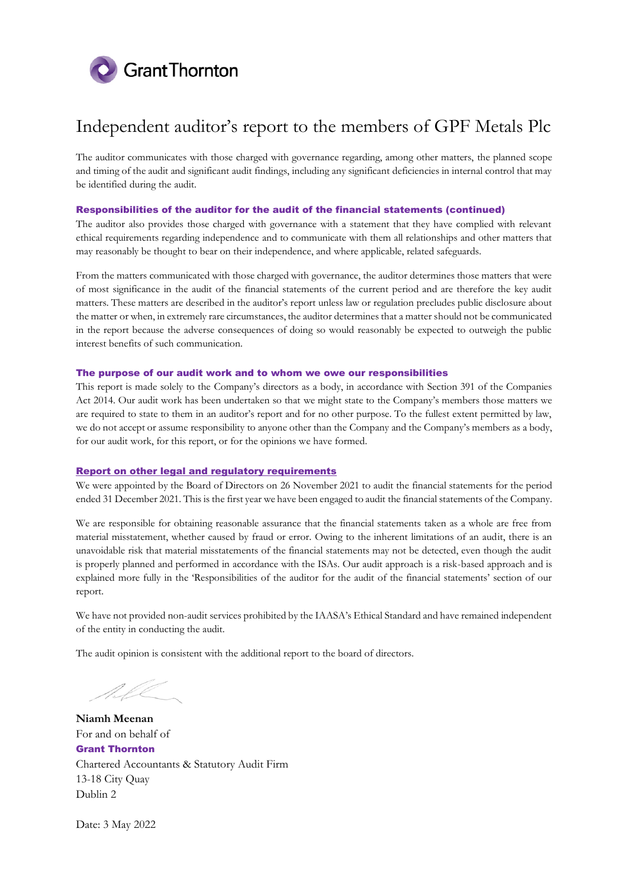

The auditor communicates with those charged with governance regarding, among other matters, the planned scope and timing of the audit and significant audit findings, including any significant deficiencies in internal control that may be identified during the audit.

# Responsibilities of the auditor for the audit of the financial statements (continued)

The auditor also provides those charged with governance with a statement that they have complied with relevant ethical requirements regarding independence and to communicate with them all relationships and other matters that may reasonably be thought to bear on their independence, and where applicable, related safeguards.

From the matters communicated with those charged with governance, the auditor determines those matters that were of most significance in the audit of the financial statements of the current period and are therefore the key audit matters. These matters are described in the auditor's report unless law or regulation precludes public disclosure about the matter or when, in extremely rare circumstances, the auditor determines that a matter should not be communicated in the report because the adverse consequences of doing so would reasonably be expected to outweigh the public interest benefits of such communication.

# The purpose of our audit work and to whom we owe our responsibilities

This report is made solely to the Company's directors as a body, in accordance with Section 391 of the Companies Act 2014. Our audit work has been undertaken so that we might state to the Company's members those matters we are required to state to them in an auditor's report and for no other purpose. To the fullest extent permitted by law, we do not accept or assume responsibility to anyone other than the Company and the Company's members as a body, for our audit work, for this report, or for the opinions we have formed.

# Report on other legal and regulatory requirements

We were appointed by the Board of Directors on 26 November 2021 to audit the financial statements for the period ended 31 December 2021. This is the first year we have been engaged to audit the financial statements of the Company.

We are responsible for obtaining reasonable assurance that the financial statements taken as a whole are free from material misstatement, whether caused by fraud or error. Owing to the inherent limitations of an audit, there is an unavoidable risk that material misstatements of the financial statements may not be detected, even though the audit is properly planned and performed in accordance with the ISAs. Our audit approach is a risk-based approach and is explained more fully in the 'Responsibilities of the auditor for the audit of the financial statements' section of our report.

We have not provided non-audit services prohibited by the IAASA's Ethical Standard and have remained independent of the entity in conducting the audit.

The audit opinion is consistent with the additional report to the board of directors.

NLE

**Niamh Meenan** For and on behalf of Grant Thornton Chartered Accountants & Statutory Audit Firm 13-18 City Quay Dublin 2

Date: 3 May 2022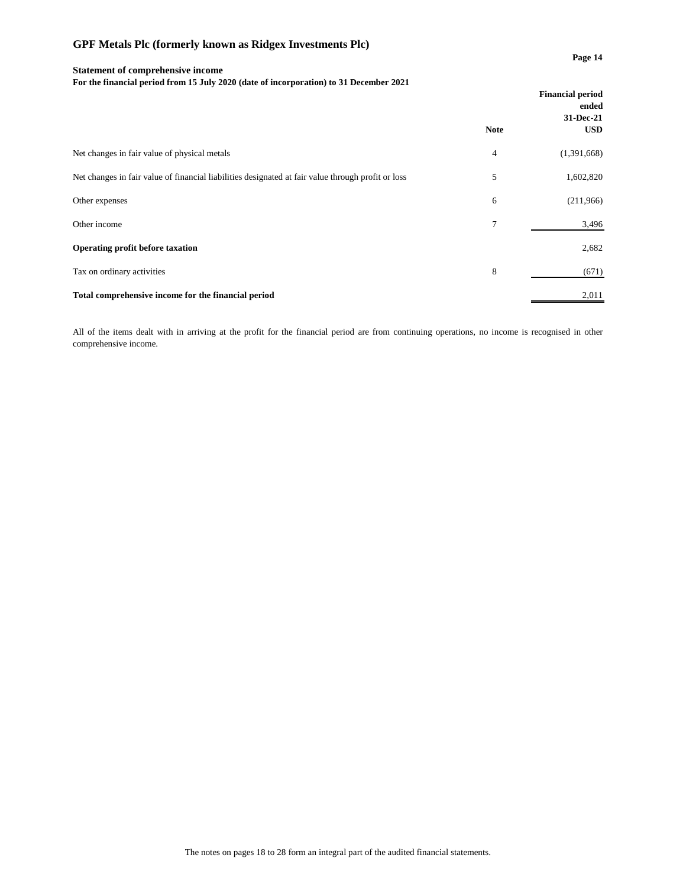# **Page 14 Statement of comprehensive income**

**For the financial period from 15 July 2020 (date of incorporation) to 31 December 2021**

|                                                                                                    | <b>Financial period</b><br>ended |             |
|----------------------------------------------------------------------------------------------------|----------------------------------|-------------|
|                                                                                                    |                                  | 31-Dec-21   |
|                                                                                                    | <b>Note</b>                      | <b>USD</b>  |
| Net changes in fair value of physical metals                                                       | 4                                | (1,391,668) |
| Net changes in fair value of financial liabilities designated at fair value through profit or loss | 5                                | 1,602,820   |
| Other expenses                                                                                     | 6                                | (211,966)   |
| Other income                                                                                       | $\overline{7}$                   | 3,496       |
| Operating profit before taxation                                                                   |                                  | 2,682       |
| Tax on ordinary activities                                                                         | 8                                | (671)       |
| Total comprehensive income for the financial period                                                |                                  | 2,011       |

All of the items dealt with in arriving at the profit for the financial period are from continuing operations, no income is recognised in other comprehensive income.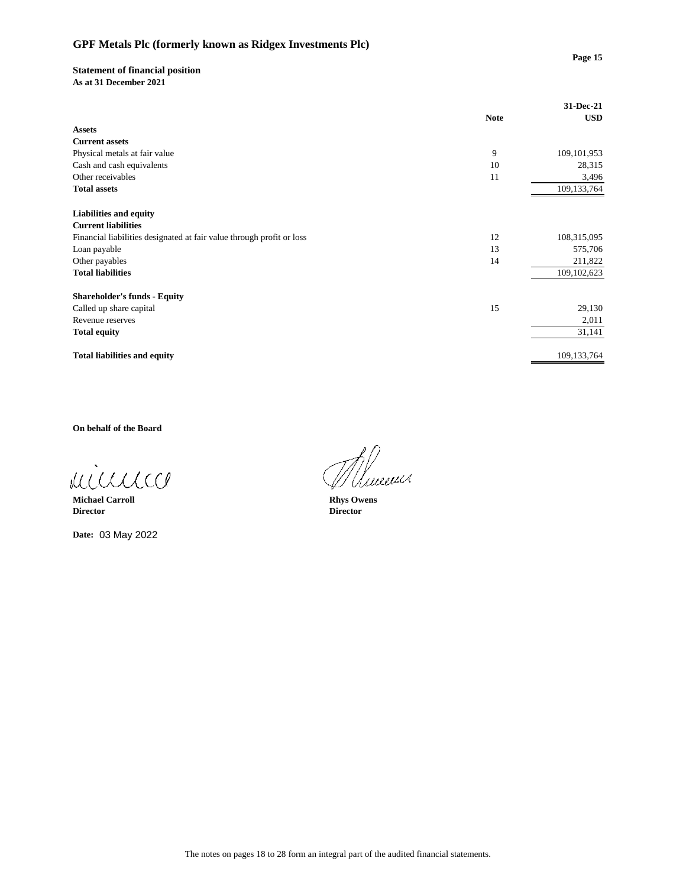# **Page 15**

# **Statement of financial position**

**As at 31 December 2021**

|                                                                       |             | 31-Dec-21     |
|-----------------------------------------------------------------------|-------------|---------------|
|                                                                       | <b>Note</b> | <b>USD</b>    |
| <b>Assets</b>                                                         |             |               |
| <b>Current assets</b>                                                 |             |               |
| Physical metals at fair value                                         | 9           | 109, 101, 953 |
| Cash and cash equivalents                                             | 10          | 28,315        |
| Other receivables                                                     | 11          | 3,496         |
| <b>Total assets</b>                                                   |             | 109,133,764   |
|                                                                       |             |               |
| <b>Liabilities and equity</b>                                         |             |               |
| <b>Current liabilities</b>                                            |             |               |
| Financial liabilities designated at fair value through profit or loss | 12          | 108,315,095   |
| Loan payable                                                          | 13          | 575,706       |
| Other payables                                                        | 14          | 211,822       |
| <b>Total liabilities</b>                                              |             | 109,102,623   |
| <b>Shareholder's funds - Equity</b>                                   |             |               |
| Called up share capital                                               | 15          | 29,130        |
| Revenue reserves                                                      |             | 2,011         |
| <b>Total equity</b>                                                   |             | 31,141        |
|                                                                       |             |               |
| <b>Total liabilities and equity</b>                                   |             | 109,133,764   |

**On behalf of the Board**

minnico

**Michael Carroll Rhys Owens Director Director**

**Date:** 03 May 2022

Umenci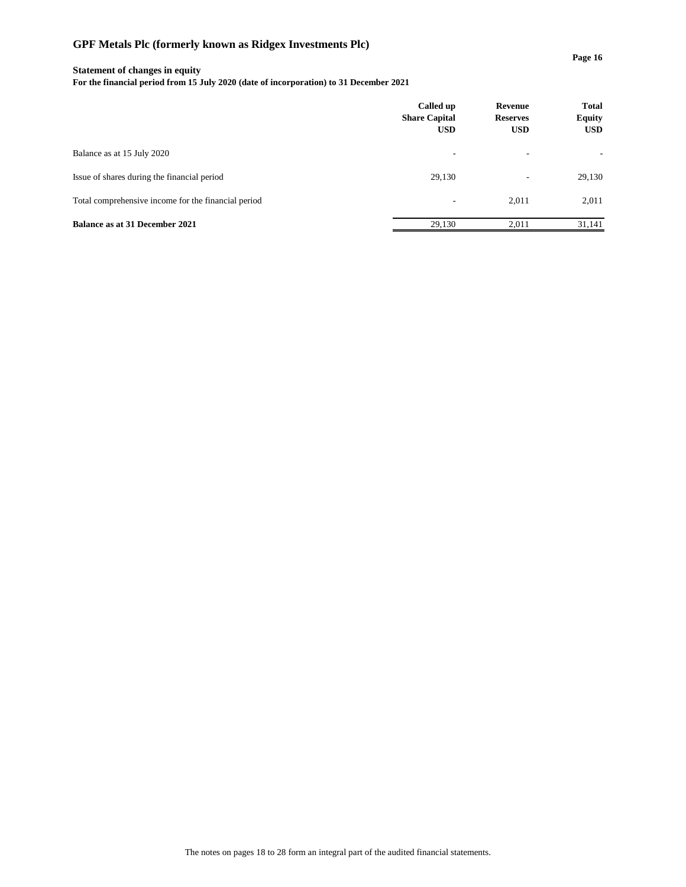## **Statement of changes in equity**

**For the financial period from 15 July 2020 (date of incorporation) to 31 December 2021**

|                                                     | Called up<br><b>Share Capital</b><br><b>USD</b> | <b>Revenue</b><br><b>Reserves</b><br><b>USD</b> | <b>Total</b><br><b>Equity</b><br><b>USD</b> |
|-----------------------------------------------------|-------------------------------------------------|-------------------------------------------------|---------------------------------------------|
| Balance as at 15 July 2020                          | ٠                                               |                                                 |                                             |
| Issue of shares during the financial period         | 29,130                                          | ۰                                               | 29,130                                      |
| Total comprehensive income for the financial period | $\overline{\phantom{a}}$                        | 2,011                                           | 2,011                                       |
| Balance as at 31 December 2021                      | 29.130                                          | 2.011                                           | 31.141                                      |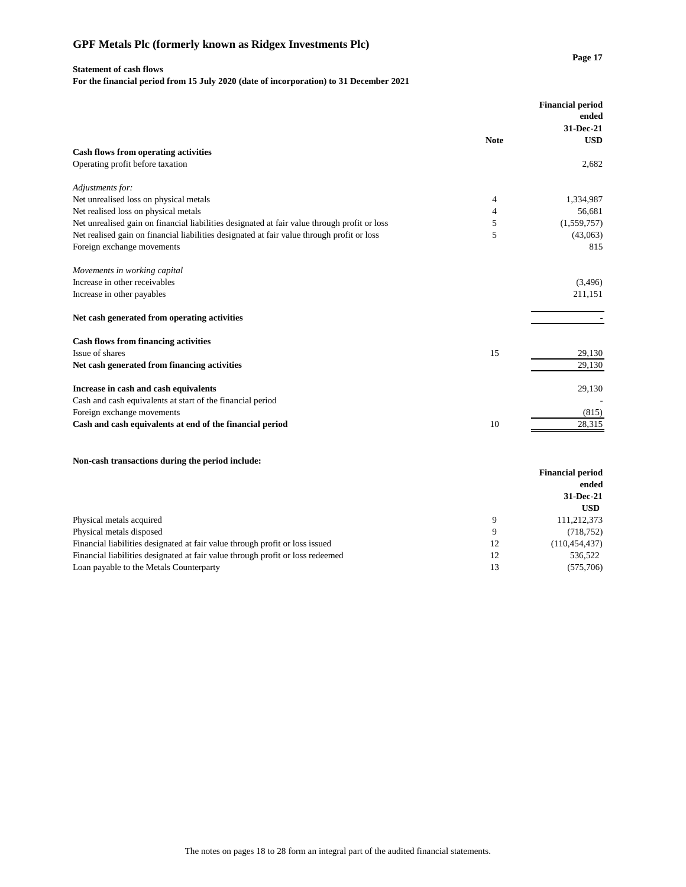# **Statement of cash flows**

**For the financial period from 15 July 2020 (date of incorporation) to 31 December 2021**

|                                                                                              |             | <b>Financial period</b><br>ended |
|----------------------------------------------------------------------------------------------|-------------|----------------------------------|
|                                                                                              |             | 31-Dec-21                        |
|                                                                                              | <b>Note</b> | <b>USD</b>                       |
| <b>Cash flows from operating activities</b>                                                  |             |                                  |
| Operating profit before taxation                                                             |             | 2,682                            |
| Adjustments for:                                                                             |             |                                  |
| Net unrealised loss on physical metals                                                       | 4           | 1,334,987                        |
| Net realised loss on physical metals                                                         | 4           | 56,681                           |
| Net unrealised gain on financial liabilities designated at fair value through profit or loss | 5           | (1,559,757)                      |
| Net realised gain on financial liabilities designated at fair value through profit or loss   | 5           | (43,063)                         |
| Foreign exchange movements                                                                   |             | 815                              |
| Movements in working capital                                                                 |             |                                  |
| Increase in other receivables                                                                |             | (3,496)                          |
| Increase in other payables                                                                   |             | 211,151                          |
| Net cash generated from operating activities                                                 |             |                                  |
| <b>Cash flows from financing activities</b>                                                  |             |                                  |
| Issue of shares                                                                              | 15          | 29,130                           |
| Net cash generated from financing activities                                                 |             | 29,130                           |
| Increase in cash and cash equivalents                                                        |             | 29,130                           |
| Cash and cash equivalents at start of the financial period                                   |             |                                  |
| Foreign exchange movements                                                                   |             | (815)                            |
| Cash and cash equivalents at end of the financial period                                     | 10          | 28,315                           |
| Non-cash transactions during the period include:                                             |             |                                  |

| Two cash transactions auring the period include:                               |       |                         |
|--------------------------------------------------------------------------------|-------|-------------------------|
|                                                                                |       | <b>Financial period</b> |
|                                                                                | ended |                         |
|                                                                                |       | 31-Dec-21               |
|                                                                                |       | <b>USD</b>              |
| Physical metals acquired                                                       | Q     | 111,212,373             |
| Physical metals disposed                                                       | 9     | (718, 752)              |
| Financial liabilities designated at fair value through profit or loss issued   | 12    | (110, 454, 437)         |
| Financial liabilities designated at fair value through profit or loss redeemed | 12    | 536,522                 |
| Loan payable to the Metals Counterparty                                        | 13    | (575,706)               |
|                                                                                |       |                         |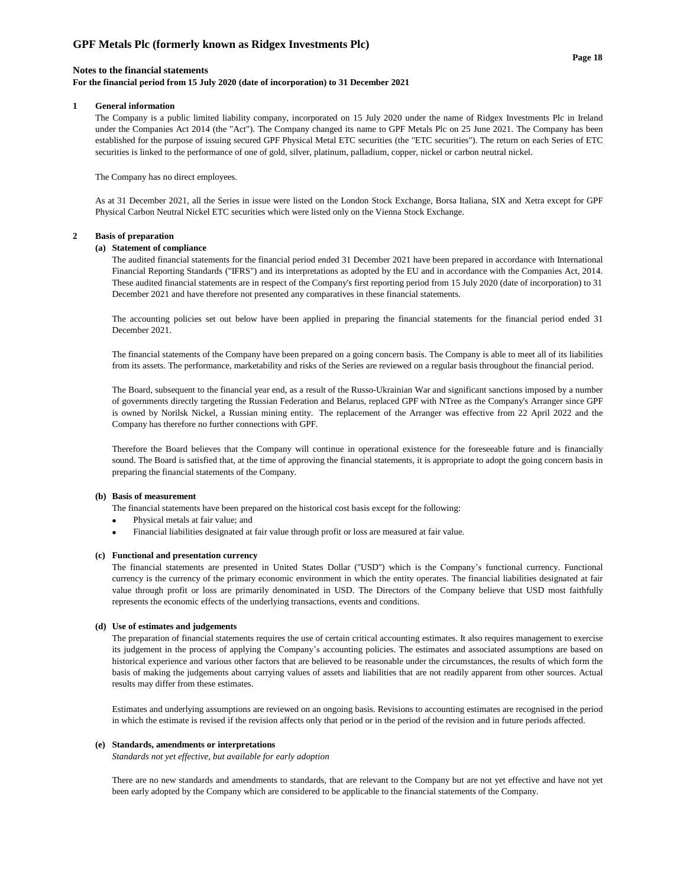## **Notes to the financial statements**

## **For the financial period from 15 July 2020 (date of incorporation) to 31 December 2021**

### **1 General information**

The Company is a public limited liability company, incorporated on 15 July 2020 under the name of Ridgex Investments Plc in Ireland under the Companies Act 2014 (the "Act"). The Company changed its name to GPF Metals Plc on 25 June 2021. The Company has been established for the purpose of issuing secured GPF Physical Metal ETC securities (the "ETC securities"). The return on each Series of ETC securities is linked to the performance of one of gold, silver, platinum, palladium, copper, nickel or carbon neutral nickel.

#### The Company has no direct employees.

As at 31 December 2021, all the Series in issue were listed on the London Stock Exchange, Borsa Italiana, SIX and Xetra except for GPF Physical Carbon Neutral Nickel ETC securities which were listed only on the Vienna Stock Exchange.

#### **2 Basis of preparation**

### **(a) Statement of compliance**

The audited financial statements for the financial period ended 31 December 2021 have been prepared in accordance with International Financial Reporting Standards ("IFRS") and its interpretations as adopted by the EU and in accordance with the Companies Act, 2014. These audited financial statements are in respect of the Company's first reporting period from 15 July 2020 (date of incorporation) to 31 December 2021 and have therefore not presented any comparatives in these financial statements.

The accounting policies set out below have been applied in preparing the financial statements for the financial period ended 31 December 2021.

The financial statements of the Company have been prepared on a going concern basis. The Company is able to meet all of its liabilities from its assets. The performance, marketability and risks of the Series are reviewed on a regular basis throughout the financial period.

The Board, subsequent to the financial year end, as a result of the Russo-Ukrainian War and significant sanctions imposed by a number of governments directly targeting the Russian Federation and Belarus, replaced GPF with NTree as the Company's Arranger since GPF is owned by Norilsk Nickel, a Russian mining entity. The replacement of the Arranger was effective from 22 April 2022 and the Company has therefore no further connections with GPF.

Therefore the Board believes that the Company will continue in operational existence for the foreseeable future and is financially sound. The Board is satisfied that, at the time of approving the financial statements, it is appropriate to adopt the going concern basis in preparing the financial statements of the Company.

### **(b) Basis of measurement**

The financial statements have been prepared on the historical cost basis except for the following:

- •Physical metals at fair value; and
- • Financial liabilities designated at fair value through profit or loss are measured at fair value.

#### **(c) Functional and presentation currency**

The financial statements are presented in United States Dollar (''USD'') which is the Company's functional currency. Functional currency is the currency of the primary economic environment in which the entity operates. The financial liabilities designated at fair value through profit or loss are primarily denominated in USD. The Directors of the Company believe that USD most faithfully represents the economic effects of the underlying transactions, events and conditions.

#### **(d) Use of estimates and judgements**

The preparation of financial statements requires the use of certain critical accounting estimates. It also requires management to exercise its judgement in the process of applying the Company's accounting policies. The estimates and associated assumptions are based on historical experience and various other factors that are believed to be reasonable under the circumstances, the results of which form the basis of making the judgements about carrying values of assets and liabilities that are not readily apparent from other sources. Actual results may differ from these estimates.

Estimates and underlying assumptions are reviewed on an ongoing basis. Revisions to accounting estimates are recognised in the period in which the estimate is revised if the revision affects only that period or in the period of the revision and in future periods affected.

#### **(e) Standards, amendments or interpretations**

*Standards not yet effective, but available for early adoption*

There are no new standards and amendments to standards, that are relevant to the Company but are not yet effective and have not yet been early adopted by the Company which are considered to be applicable to the financial statements of the Company.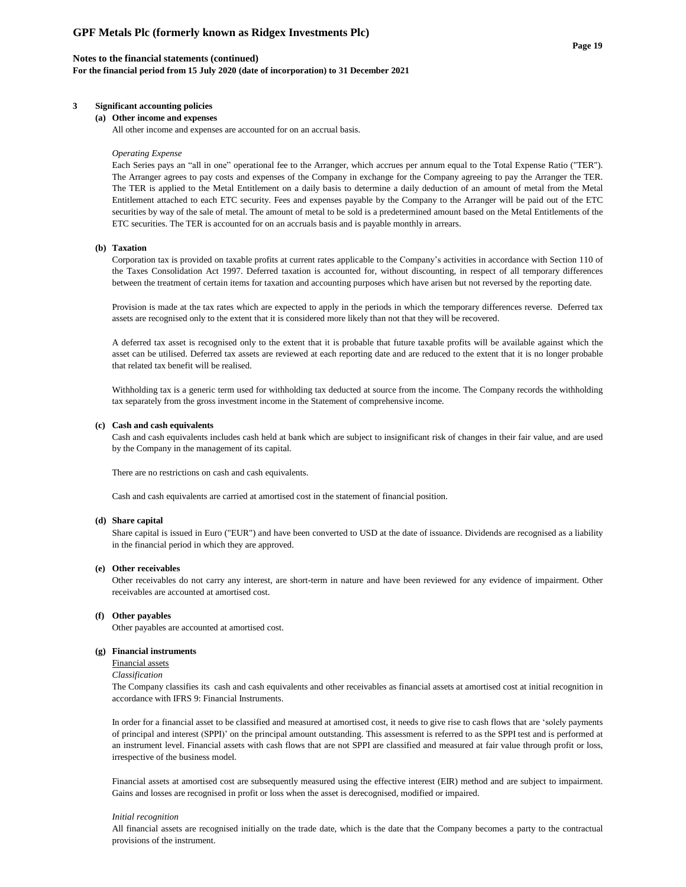### **Notes to the financial statements (continued)**

**For the financial period from 15 July 2020 (date of incorporation) to 31 December 2021**

## **3 Significant accounting policies**

#### **(a) Other income and expenses**

All other income and expenses are accounted for on an accrual basis.

#### *Operating Expense*

Each Series pays an "all in one" operational fee to the Arranger, which accrues per annum equal to the Total Expense Ratio ("TER"). The Arranger agrees to pay costs and expenses of the Company in exchange for the Company agreeing to pay the Arranger the TER. The TER is applied to the Metal Entitlement on a daily basis to determine a daily deduction of an amount of metal from the Metal Entitlement attached to each ETC security. Fees and expenses payable by the Company to the Arranger will be paid out of the ETC securities by way of the sale of metal. The amount of metal to be sold is a predetermined amount based on the Metal Entitlements of the ETC securities. The TER is accounted for on an accruals basis and is payable monthly in arrears.

#### **(b) Taxation**

Corporation tax is provided on taxable profits at current rates applicable to the Company's activities in accordance with Section 110 of the Taxes Consolidation Act 1997. Deferred taxation is accounted for, without discounting, in respect of all temporary differences between the treatment of certain items for taxation and accounting purposes which have arisen but not reversed by the reporting date.

Provision is made at the tax rates which are expected to apply in the periods in which the temporary differences reverse. Deferred tax assets are recognised only to the extent that it is considered more likely than not that they will be recovered.

A deferred tax asset is recognised only to the extent that it is probable that future taxable profits will be available against which the asset can be utilised. Deferred tax assets are reviewed at each reporting date and are reduced to the extent that it is no longer probable that related tax benefit will be realised.

Withholding tax is a generic term used for withholding tax deducted at source from the income. The Company records the withholding tax separately from the gross investment income in the Statement of comprehensive income.

#### **(c) Cash and cash equivalents**

Cash and cash equivalents includes cash held at bank which are subject to insignificant risk of changes in their fair value, and are used by the Company in the management of its capital.

There are no restrictions on cash and cash equivalents.

Cash and cash equivalents are carried at amortised cost in the statement of financial position.

#### **(d) Share capital**

Share capital is issued in Euro ("EUR") and have been converted to USD at the date of issuance. Dividends are recognised as a liability in the financial period in which they are approved.

#### **(e) Other receivables**

Other receivables do not carry any interest, are short-term in nature and have been reviewed for any evidence of impairment. Other receivables are accounted at amortised cost.

#### **(f) Other payables**

Other payables are accounted at amortised cost.

#### **(g) Financial instruments**

Financial assets

#### *Classification*

The Company classifies its cash and cash equivalents and other receivables as financial assets at amortised cost at initial recognition in accordance with IFRS 9: Financial Instruments.

In order for a financial asset to be classified and measured at amortised cost, it needs to give rise to cash flows that are 'solely payments of principal and interest (SPPI)' on the principal amount outstanding. This assessment is referred to as the SPPI test and is performed at an instrument level. Financial assets with cash flows that are not SPPI are classified and measured at fair value through profit or loss, irrespective of the business model.

Financial assets at amortised cost are subsequently measured using the effective interest (EIR) method and are subject to impairment. Gains and losses are recognised in profit or loss when the asset is derecognised, modified or impaired.

#### *Initial recognition*

All financial assets are recognised initially on the trade date, which is the date that the Company becomes a party to the contractual provisions of the instrument.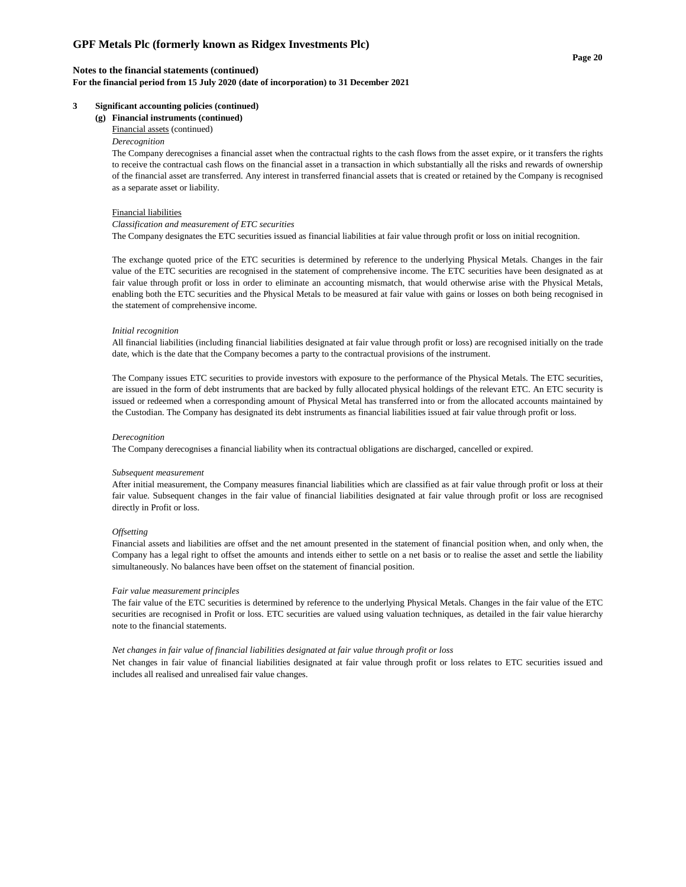## **Notes to the financial statements (continued)**

**For the financial period from 15 July 2020 (date of incorporation) to 31 December 2021**

### **3 Significant accounting policies (continued)**

**(g) Financial instruments (continued)**

# Financial assets (continued)

## *Derecognition*

The Company derecognises a financial asset when the contractual rights to the cash flows from the asset expire, or it transfers the rights to receive the contractual cash flows on the financial asset in a transaction in which substantially all the risks and rewards of ownership of the financial asset are transferred. Any interest in transferred financial assets that is created or retained by the Company is recognised as a separate asset or liability.

#### Financial liabilities

#### *Classification and measurement of ETC securities*

The Company designates the ETC securities issued as financial liabilities at fair value through profit or loss on initial recognition.

The exchange quoted price of the ETC securities is determined by reference to the underlying Physical Metals. Changes in the fair value of the ETC securities are recognised in the statement of comprehensive income. The ETC securities have been designated as at fair value through profit or loss in order to eliminate an accounting mismatch, that would otherwise arise with the Physical Metals, enabling both the ETC securities and the Physical Metals to be measured at fair value with gains or losses on both being recognised in the statement of comprehensive income.

#### *Initial recognition*

All financial liabilities (including financial liabilities designated at fair value through profit or loss) are recognised initially on the trade date, which is the date that the Company becomes a party to the contractual provisions of the instrument.

The Company issues ETC securities to provide investors with exposure to the performance of the Physical Metals. The ETC securities, are issued in the form of debt instruments that are backed by fully allocated physical holdings of the relevant ETC. An ETC security is issued or redeemed when a corresponding amount of Physical Metal has transferred into or from the allocated accounts maintained by the Custodian. The Company has designated its debt instruments as financial liabilities issued at fair value through profit or loss.

#### *Derecognition*

The Company derecognises a financial liability when its contractual obligations are discharged, cancelled or expired.

#### *Subsequent measurement*

After initial measurement, the Company measures financial liabilities which are classified as at fair value through profit or loss at their fair value. Subsequent changes in the fair value of financial liabilities designated at fair value through profit or loss are recognised directly in Profit or loss.

#### *Offsetting*

Financial assets and liabilities are offset and the net amount presented in the statement of financial position when, and only when, the Company has a legal right to offset the amounts and intends either to settle on a net basis or to realise the asset and settle the liability simultaneously. No balances have been offset on the statement of financial position.

#### *Fair value measurement principles*

The fair value of the ETC securities is determined by reference to the underlying Physical Metals. Changes in the fair value of the ETC securities are recognised in Profit or loss. ETC securities are valued using valuation techniques, as detailed in the fair value hierarchy note to the financial statements.

#### *Net changes in fair value of financial liabilities designated at fair value through profit or loss*

Net changes in fair value of financial liabilities designated at fair value through profit or loss relates to ETC securities issued and includes all realised and unrealised fair value changes.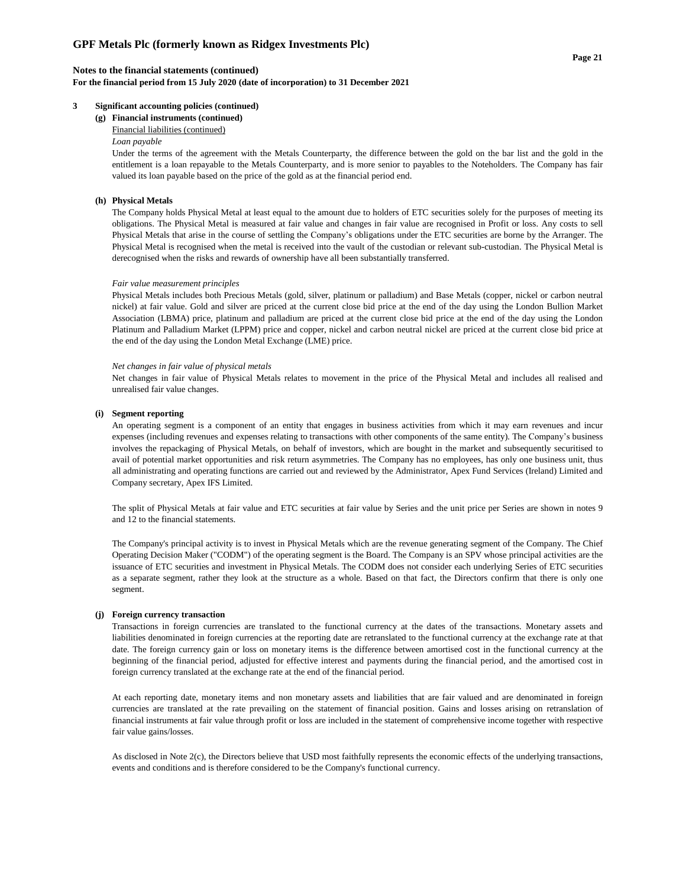## **Notes to the financial statements (continued)**

**For the financial period from 15 July 2020 (date of incorporation) to 31 December 2021**

## **3 Significant accounting policies (continued)**

**(g) Financial instruments (continued)**

# Financial liabilities (continued)

# *Loan payable*

Under the terms of the agreement with the Metals Counterparty, the difference between the gold on the bar list and the gold in the entitlement is a loan repayable to the Metals Counterparty, and is more senior to payables to the Noteholders. The Company has fair valued its loan payable based on the price of the gold as at the financial period end.

## **(h) Physical Metals**

The Company holds Physical Metal at least equal to the amount due to holders of ETC securities solely for the purposes of meeting its obligations. The Physical Metal is measured at fair value and changes in fair value are recognised in Profit or loss. Any costs to sell Physical Metals that arise in the course of settling the Company's obligations under the ETC securities are borne by the Arranger. The Physical Metal is recognised when the metal is received into the vault of the custodian or relevant sub-custodian. The Physical Metal is derecognised when the risks and rewards of ownership have all been substantially transferred.

#### *Fair value measurement principles*

Physical Metals includes both Precious Metals (gold, silver, platinum or palladium) and Base Metals (copper, nickel or carbon neutral nickel) at fair value. Gold and silver are priced at the current close bid price at the end of the day using the London Bullion Market Association (LBMA) price, platinum and palladium are priced at the current close bid price at the end of the day using the London Platinum and Palladium Market (LPPM) price and copper, nickel and carbon neutral nickel are priced at the current close bid price at the end of the day using the London Metal Exchange (LME) price.

#### *Net changes in fair value of physical metals*

Net changes in fair value of Physical Metals relates to movement in the price of the Physical Metal and includes all realised and unrealised fair value changes.

#### **(i) Segment reporting**

An operating segment is a component of an entity that engages in business activities from which it may earn revenues and incur expenses (including revenues and expenses relating to transactions with other components of the same entity). The Company's business involves the repackaging of Physical Metals, on behalf of investors, which are bought in the market and subsequently securitised to avail of potential market opportunities and risk return asymmetries. The Company has no employees, has only one business unit, thus all administrating and operating functions are carried out and reviewed by the Administrator, Apex Fund Services (Ireland) Limited and Company secretary, Apex IFS Limited.

The split of Physical Metals at fair value and ETC securities at fair value by Series and the unit price per Series are shown in notes 9 and 12 to the financial statements.

The Company's principal activity is to invest in Physical Metals which are the revenue generating segment of the Company. The Chief Operating Decision Maker ("CODM") of the operating segment is the Board. The Company is an SPV whose principal activities are the issuance of ETC securities and investment in Physical Metals. The CODM does not consider each underlying Series of ETC securities as a separate segment, rather they look at the structure as a whole. Based on that fact, the Directors confirm that there is only one segment.

#### **(j) Foreign currency transaction**

Transactions in foreign currencies are translated to the functional currency at the dates of the transactions. Monetary assets and liabilities denominated in foreign currencies at the reporting date are retranslated to the functional currency at the exchange rate at that date. The foreign currency gain or loss on monetary items is the difference between amortised cost in the functional currency at the beginning of the financial period, adjusted for effective interest and payments during the financial period, and the amortised cost in foreign currency translated at the exchange rate at the end of the financial period.

At each reporting date, monetary items and non monetary assets and liabilities that are fair valued and are denominated in foreign currencies are translated at the rate prevailing on the statement of financial position. Gains and losses arising on retranslation of financial instruments at fair value through profit or loss are included in the statement of comprehensive income together with respective fair value gains/losses.

As disclosed in Note 2(c), the Directors believe that USD most faithfully represents the economic effects of the underlying transactions, events and conditions and is therefore considered to be the Company's functional currency.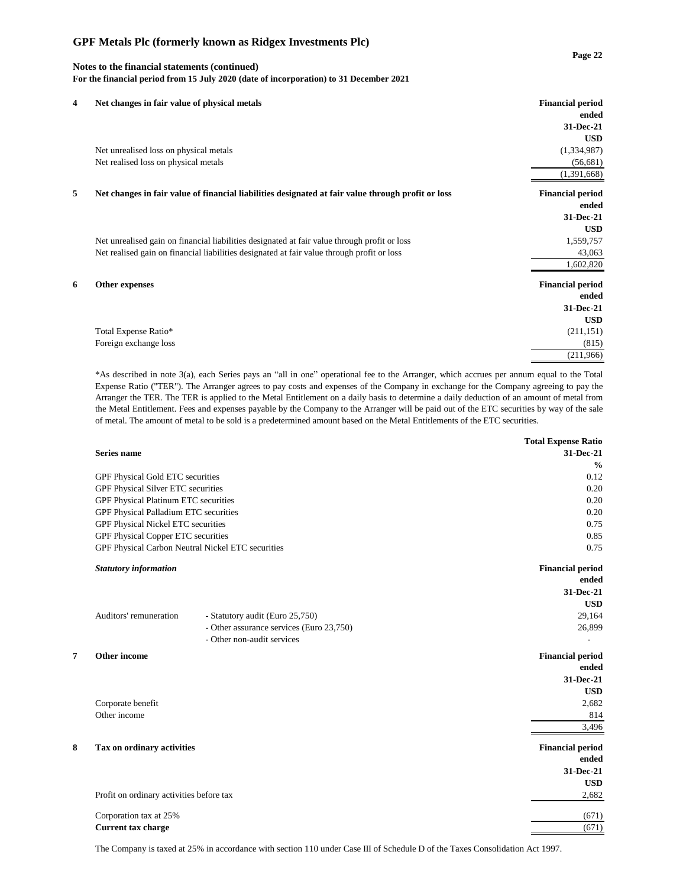## **Notes to the financial statements (continued) For the financial period from 15 July 2020 (date of incorporation) to 31 December 2021**

| 4 | Net changes in fair value of physical metals                                                       | <b>Financial period</b> |
|---|----------------------------------------------------------------------------------------------------|-------------------------|
|   |                                                                                                    | ended                   |
|   |                                                                                                    | 31-Dec-21               |
|   |                                                                                                    | <b>USD</b>              |
|   | Net unrealised loss on physical metals                                                             | (1,334,987)             |
|   | Net realised loss on physical metals                                                               | (56,681)                |
|   |                                                                                                    | (1,391,668)             |
| 5 | Net changes in fair value of financial liabilities designated at fair value through profit or loss | <b>Financial period</b> |
|   |                                                                                                    | ended                   |
|   |                                                                                                    | 31-Dec-21               |
|   |                                                                                                    | <b>USD</b>              |
|   | Net unrealised gain on financial liabilities designated at fair value through profit or loss       | 1,559,757               |
|   | Net realised gain on financial liabilities designated at fair value through profit or loss         | 43,063                  |
|   |                                                                                                    | 1,602,820               |
| 6 | Other expenses                                                                                     | <b>Financial period</b> |
|   |                                                                                                    | ended                   |
|   |                                                                                                    | 31-Dec-21               |
|   |                                                                                                    | <b>USD</b>              |
|   | Total Expense Ratio*                                                                               | (211, 151)              |
|   | Foreign exchange loss                                                                              | (815)                   |
|   |                                                                                                    | (211,966)               |
|   |                                                                                                    |                         |

\*As described in note 3(a), each Series pays an "all in one" operational fee to the Arranger, which accrues per annum equal to the Total Expense Ratio ("TER"). The Arranger agrees to pay costs and expenses of the Company in exchange for the Company agreeing to pay the Arranger the TER. The TER is applied to the Metal Entitlement on a daily basis to determine a daily deduction of an amount of metal from the Metal Entitlement. Fees and expenses payable by the Company to the Arranger will be paid out of the ETC securities by way of the sale of metal. The amount of metal to be sold is a predetermined amount based on the Metal Entitlements of the ETC securities.

|   |                                                   |                                          | <b>Total Expense Ratio</b> |
|---|---------------------------------------------------|------------------------------------------|----------------------------|
|   | <b>Series name</b>                                |                                          | 31-Dec-21                  |
|   |                                                   |                                          | $\frac{0}{0}$              |
|   | GPF Physical Gold ETC securities                  |                                          | 0.12                       |
|   | GPF Physical Silver ETC securities                |                                          | 0.20                       |
|   | GPF Physical Platinum ETC securities              |                                          | 0.20                       |
|   | GPF Physical Palladium ETC securities             |                                          | 0.20                       |
|   | GPF Physical Nickel ETC securities                |                                          | 0.75                       |
|   | GPF Physical Copper ETC securities                |                                          | 0.85                       |
|   | GPF Physical Carbon Neutral Nickel ETC securities |                                          | 0.75                       |
|   | <b>Statutory information</b>                      |                                          | <b>Financial period</b>    |
|   |                                                   |                                          | ended                      |
|   |                                                   |                                          | 31-Dec-21                  |
|   |                                                   |                                          | <b>USD</b>                 |
|   | Auditors' remuneration                            | - Statutory audit (Euro 25,750)          | 29,164                     |
|   |                                                   | - Other assurance services (Euro 23,750) | 26,899                     |
|   |                                                   | - Other non-audit services               |                            |
| 7 | Other income                                      |                                          | <b>Financial period</b>    |
|   |                                                   |                                          | ended                      |
|   |                                                   |                                          | 31-Dec-21                  |
|   |                                                   |                                          | <b>USD</b>                 |
|   | Corporate benefit                                 |                                          | 2,682                      |
|   | Other income                                      |                                          | 814                        |
|   |                                                   |                                          | 3,496                      |
| 8 | Tax on ordinary activities                        |                                          | <b>Financial period</b>    |
|   |                                                   |                                          | ended                      |
|   |                                                   |                                          | 31-Dec-21                  |
|   |                                                   |                                          | <b>USD</b>                 |
|   | Profit on ordinary activities before tax          |                                          | 2,682                      |
|   | Corporation tax at 25%                            |                                          | (671)                      |
|   | <b>Current tax charge</b>                         |                                          | (671)                      |
|   |                                                   |                                          |                            |

The Company is taxed at 25% in accordance with section 110 under Case III of Schedule D of the Taxes Consolidation Act 1997.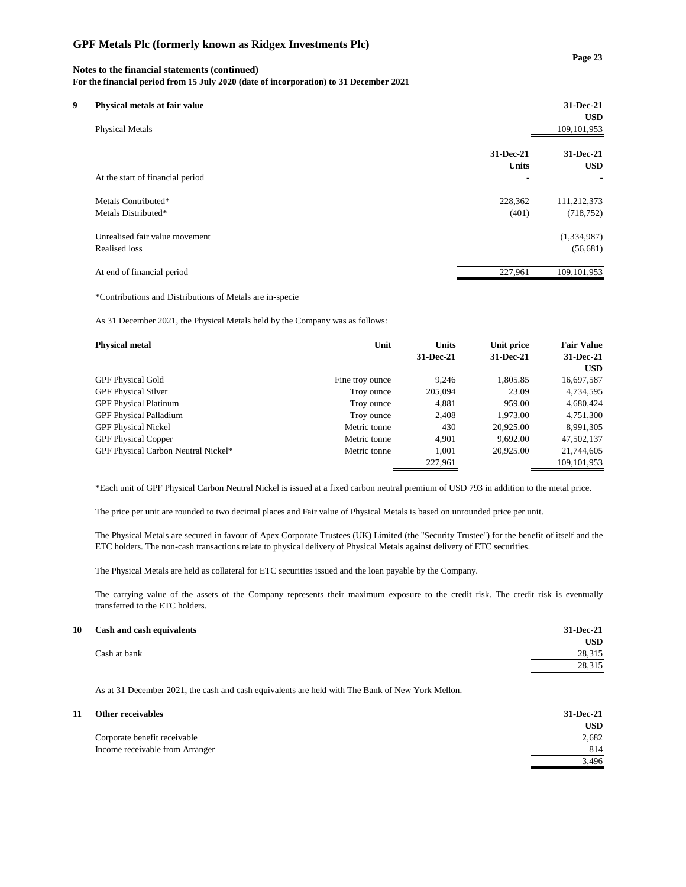# **Notes to the financial statements (continued)**

**For the financial period from 15 July 2020 (date of incorporation) to 31 December 2021**

|              | 31-Dec-21<br><b>USD</b>                                                                             |
|--------------|-----------------------------------------------------------------------------------------------------|
|              | 109, 101, 953                                                                                       |
| 31-Dec-21    | 31-Dec-21                                                                                           |
| <b>Units</b> | <b>USD</b>                                                                                          |
| ۰            | ٠                                                                                                   |
| 228,362      | 111,212,373                                                                                         |
| (401)        | (718, 752)                                                                                          |
|              | (1,334,987)                                                                                         |
|              | (56,681)                                                                                            |
| 227,961      | 109, 101, 953                                                                                       |
|              | Physical metals at fair value<br>At the start of financial period<br>Unrealised fair value movement |

\*Contributions and Distributions of Metals are in-specie

As 31 December 2021, the Physical Metals held by the Company was as follows:

| <b>Physical metal</b>               | Unit            | <b>Units</b> | Unit price | <b>Fair Value</b> |
|-------------------------------------|-----------------|--------------|------------|-------------------|
|                                     |                 | 31-Dec-21    | 31-Dec-21  | 31-Dec-21         |
|                                     |                 |              |            | <b>USD</b>        |
| <b>GPF Physical Gold</b>            | Fine troy ounce | 9.246        | 1,805.85   | 16,697,587        |
| <b>GPF Physical Silver</b>          | Troy ounce      | 205,094      | 23.09      | 4,734,595         |
| <b>GPF Physical Platinum</b>        | Troy ounce      | 4,881        | 959.00     | 4,680,424         |
| <b>GPF Physical Palladium</b>       | Troy ounce      | 2,408        | 1.973.00   | 4,751,300         |
| <b>GPF Physical Nickel</b>          | Metric tonne    | 430          | 20,925.00  | 8,991,305         |
| <b>GPF Physical Copper</b>          | Metric tonne    | 4.901        | 9,692.00   | 47,502,137        |
| GPF Physical Carbon Neutral Nickel* | Metric tonne    | 1,001        | 20,925.00  | 21,744,605        |
|                                     |                 | 227,961      |            | 109, 101, 953     |

\*Each unit of GPF Physical Carbon Neutral Nickel is issued at a fixed carbon neutral premium of USD 793 in addition to the metal price.

The price per unit are rounded to two decimal places and Fair value of Physical Metals is based on unrounded price per unit.

The Physical Metals are secured in favour of Apex Corporate Trustees (UK) Limited (the ''Security Trustee'') for the benefit of itself and the ETC holders. The non-cash transactions relate to physical delivery of Physical Metals against delivery of ETC securities.

The Physical Metals are held as collateral for ETC securities issued and the loan payable by the Company.

The carrying value of the assets of the Company represents their maximum exposure to the credit risk. The credit risk is eventually transferred to the ETC holders.

# **10 Cash and cash equivalents 31-Dec-21**

As at 31 December 2021, the cash and cash equivalents are held with The Bank of New York Mellon.

| 11 | Other receivables               | 31-Dec-21  |
|----|---------------------------------|------------|
|    |                                 | <b>USD</b> |
|    | Corporate benefit receivable    | 2,682      |
|    | Income receivable from Arranger | 814        |
|    |                                 | 3.496      |
|    |                                 |            |

**USD**

28,315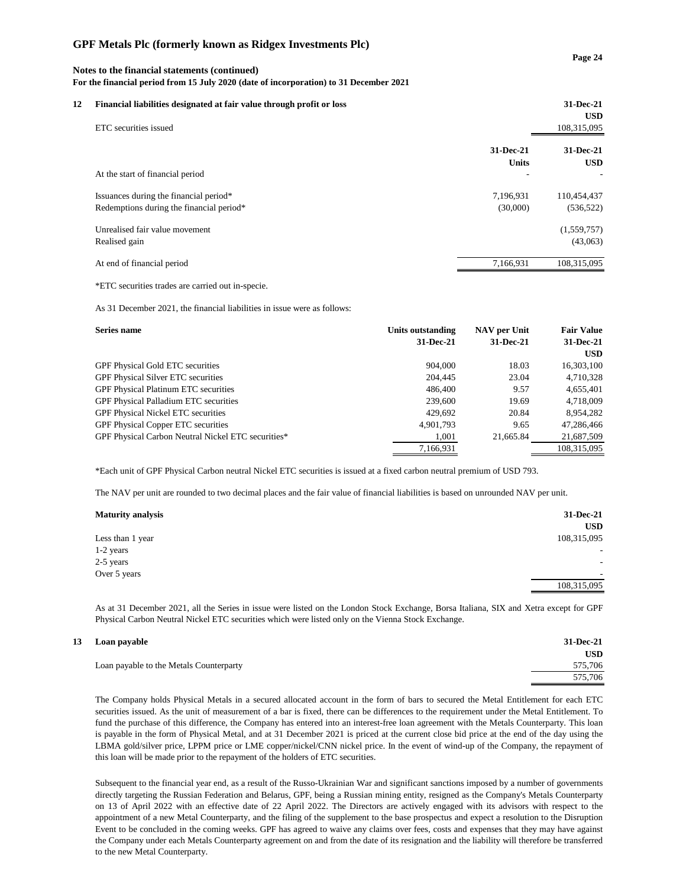# **Notes to the financial statements (continued)**

**For the financial period from 15 July 2020 (date of incorporation) to 31 December 2021**

| 12 | Financial liabilities designated at fair value through profit or loss<br>ETC securities issued |              | 31-Dec-21<br><b>USD</b><br>108,315,095 |
|----|------------------------------------------------------------------------------------------------|--------------|----------------------------------------|
|    |                                                                                                | 31-Dec-21    | 31-Dec-21                              |
|    |                                                                                                | <b>Units</b> | <b>USD</b>                             |
|    | At the start of financial period                                                               |              |                                        |
|    | Issuances during the financial period*                                                         | 7,196,931    | 110,454,437                            |
|    | Redemptions during the financial period*                                                       | (30,000)     | (536, 522)                             |
|    | Unrealised fair value movement                                                                 |              | (1,559,757)                            |
|    | Realised gain                                                                                  |              | (43,063)                               |
|    | At end of financial period                                                                     | 7.166.931    | 108.315.095                            |

\*ETC securities trades are carried out in-specie.

As 31 December 2021, the financial liabilities in issue were as follows:

| Series name                                        | Units outstanding | NAV per Unit | <b>Fair Value</b> |
|----------------------------------------------------|-------------------|--------------|-------------------|
|                                                    | 31-Dec-21         | 31-Dec-21    | 31-Dec-21         |
|                                                    |                   |              | <b>USD</b>        |
| <b>GPF Physical Gold ETC securities</b>            | 904,000           | 18.03        | 16,303,100        |
| <b>GPF Physical Silver ETC securities</b>          | 204,445           | 23.04        | 4,710,328         |
| GPF Physical Platinum ETC securities               | 486,400           | 9.57         | 4,655,401         |
| GPF Physical Palladium ETC securities              | 239,600           | 19.69        | 4,718,009         |
| <b>GPF Physical Nickel ETC securities</b>          | 429.692           | 20.84        | 8,954,282         |
| <b>GPF Physical Copper ETC securities</b>          | 4,901,793         | 9.65         | 47,286,466        |
| GPF Physical Carbon Neutral Nickel ETC securities* | 1.001             | 21,665.84    | 21,687,509        |
|                                                    | 7,166,931         |              | 108.315.095       |

\*Each unit of GPF Physical Carbon neutral Nickel ETC securities is issued at a fixed carbon neutral premium of USD 793.

The NAV per unit are rounded to two decimal places and the fair value of financial liabilities is based on unrounded NAV per unit.

| <b>Maturity analysis</b> | 31-Dec-21   |
|--------------------------|-------------|
|                          | <b>USD</b>  |
| Less than 1 year         | 108,315,095 |
| 1-2 years                | ۰.          |
| 2-5 years                |             |
| Over 5 years             |             |
|                          | 108,315,095 |

As at 31 December 2021, all the Series in issue were listed on the London Stock Exchange, Borsa Italiana, SIX and Xetra except for GPF Physical Carbon Neutral Nickel ETC securities which were listed only on the Vienna Stock Exchange.

| 13 Loan payable                         | 31-Dec-21  |
|-----------------------------------------|------------|
|                                         | <b>USD</b> |
| Loan payable to the Metals Counterparty | 575,706    |
|                                         | 575,706    |
|                                         |            |

The Company holds Physical Metals in a secured allocated account in the form of bars to secured the Metal Entitlement for each ETC securities issued. As the unit of measurement of a bar is fixed, there can be differences to the requirement under the Metal Entitlement. To fund the purchase of this difference, the Company has entered into an interest-free loan agreement with the Metals Counterparty. This loan is payable in the form of Physical Metal, and at 31 December 2021 is priced at the current close bid price at the end of the day using the LBMA gold/silver price, LPPM price or LME copper/nickel/CNN nickel price. In the event of wind-up of the Company, the repayment of this loan will be made prior to the repayment of the holders of ETC securities.

Subsequent to the financial year end, as a result of the Russo-Ukrainian War and significant sanctions imposed by a number of governments directly targeting the Russian Federation and Belarus, GPF, being a Russian mining entity, resigned as the Company's Metals Counterparty on 13 of April 2022 with an effective date of 22 April 2022. The Directors are actively engaged with its advisors with respect to the appointment of a new Metal Counterparty, and the filing of the supplement to the base prospectus and expect a resolution to the Disruption Event to be concluded in the coming weeks. GPF has agreed to waive any claims over fees, costs and expenses that they may have against the Company under each Metals Counterparty agreement on and from the date of its resignation and the liability will therefore be transferred to the new Metal Counterparty.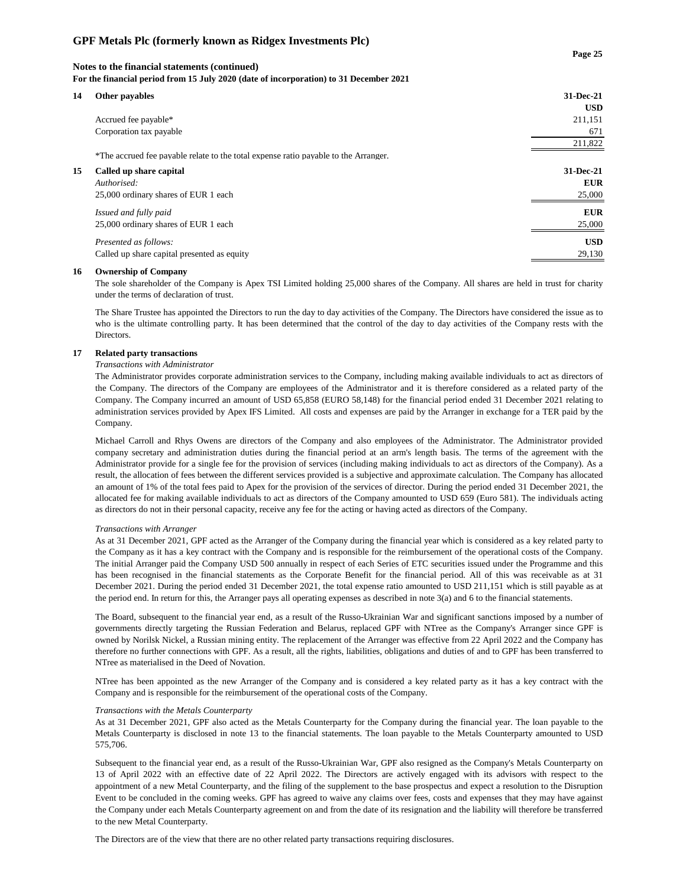# **Notes to the financial statements (continued) For the financial period from 15 July 2020 (date of incorporation) to 31 December 2021**

| 14 | Other payables                                                                      | 31-Dec-21<br><b>USD</b> |
|----|-------------------------------------------------------------------------------------|-------------------------|
|    | Accrued fee payable*                                                                | 211,151                 |
|    | Corporation tax payable                                                             | 671                     |
|    |                                                                                     | 211,822                 |
|    | *The accrued fee payable relate to the total expense ratio payable to the Arranger. |                         |
| 15 | Called up share capital                                                             | 31-Dec-21               |
|    | Authorised:                                                                         | <b>EUR</b>              |
|    | 25,000 ordinary shares of EUR 1 each                                                | 25,000                  |
|    | Issued and fully paid                                                               | <b>EUR</b>              |
|    | 25,000 ordinary shares of EUR 1 each                                                | 25,000                  |
|    | Presented as follows:                                                               | <b>USD</b>              |
|    | Called up share capital presented as equity                                         | 29,130                  |

#### **16 Ownership of Company**

The sole shareholder of the Company is Apex TSI Limited holding 25,000 shares of the Company. All shares are held in trust for charity under the terms of declaration of trust.

The Share Trustee has appointed the Directors to run the day to day activities of the Company. The Directors have considered the issue as to who is the ultimate controlling party. It has been determined that the control of the day to day activities of the Company rests with the Directors.

## **17 Related party transactions**

## *Transactions with Administrator*

The Administrator provides corporate administration services to the Company, including making available individuals to act as directors of the Company. The directors of the Company are employees of the Administrator and it is therefore considered as a related party of the Company. The Company incurred an amount of USD 65,858 (EURO 58,148) for the financial period ended 31 December 2021 relating to administration services provided by Apex IFS Limited. All costs and expenses are paid by the Arranger in exchange for a TER paid by the Company.

Michael Carroll and Rhys Owens are directors of the Company and also employees of the Administrator. The Administrator provided company secretary and administration duties during the financial period at an arm's length basis. The terms of the agreement with the Administrator provide for a single fee for the provision of services (including making individuals to act as directors of the Company). As a result, the allocation of fees between the different services provided is a subjective and approximate calculation. The Company has allocated an amount of 1% of the total fees paid to Apex for the provision of the services of director. During the period ended 31 December 2021, the allocated fee for making available individuals to act as directors of the Company amounted to USD 659 (Euro 581). The individuals acting as directors do not in their personal capacity, receive any fee for the acting or having acted as directors of the Company.

#### *Transactions with Arranger*

As at 31 December 2021, GPF acted as the Arranger of the Company during the financial year which is considered as a key related party to the Company as it has a key contract with the Company and is responsible for the reimbursement of the operational costs of the Company. The initial Arranger paid the Company USD 500 annually in respect of each Series of ETC securities issued under the Programme and this has been recognised in the financial statements as the Corporate Benefit for the financial period. All of this was receivable as at 31 December 2021. During the period ended 31 December 2021, the total expense ratio amounted to USD 211,151 which is still payable as at the period end. In return for this, the Arranger pays all operating expenses as described in note 3(a) and 6 to the financial statements.

The Board, subsequent to the financial year end, as a result of the Russo-Ukrainian War and significant sanctions imposed by a number of governments directly targeting the Russian Federation and Belarus, replaced GPF with NTree as the Company's Arranger since GPF is owned by Norilsk Nickel, a Russian mining entity. The replacement of the Arranger was effective from 22 April 2022 and the Company has therefore no further connections with GPF. As a result, all the rights, liabilities, obligations and duties of and to GPF has been transferred to NTree as materialised in the Deed of Novation.

NTree has been appointed as the new Arranger of the Company and is considered a key related party as it has a key contract with the Company and is responsible for the reimbursement of the operational costs of the Company.

#### *Transactions with the Metals Counterparty*

As at 31 December 2021, GPF also acted as the Metals Counterparty for the Company during the financial year. The loan payable to the Metals Counterparty is disclosed in note 13 to the financial statements. The loan payable to the Metals Counterparty amounted to USD 575,706.

Subsequent to the financial year end, as a result of the Russo-Ukrainian War, GPF also resigned as the Company's Metals Counterparty on 13 of April 2022 with an effective date of 22 April 2022. The Directors are actively engaged with its advisors with respect to the appointment of a new Metal Counterparty, and the filing of the supplement to the base prospectus and expect a resolution to the Disruption Event to be concluded in the coming weeks. GPF has agreed to waive any claims over fees, costs and expenses that they may have against the Company under each Metals Counterparty agreement on and from the date of its resignation and the liability will therefore be transferred to the new Metal Counterparty.

The Directors are of the view that there are no other related party transactions requiring disclosures.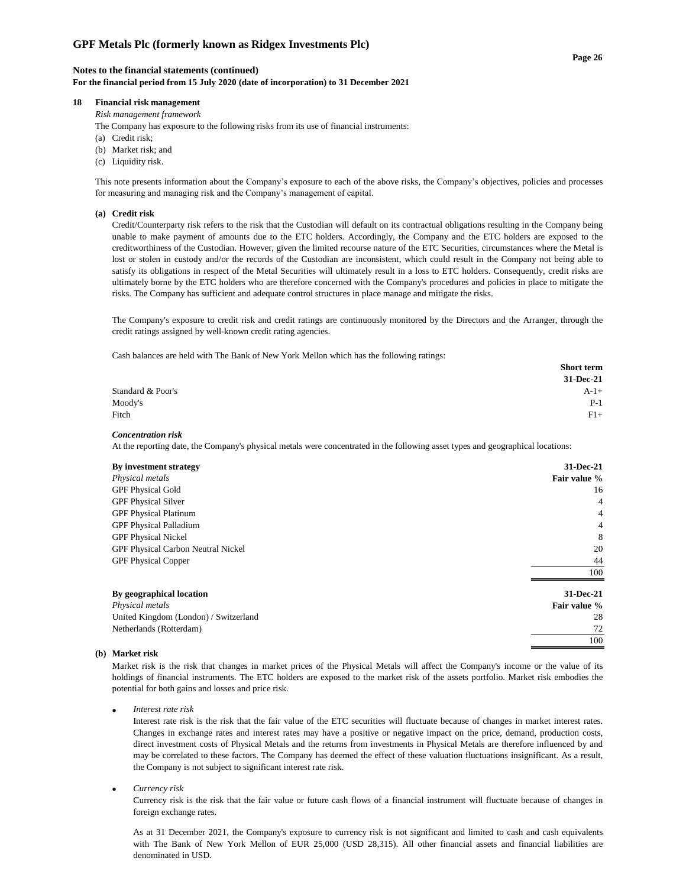#### **Notes to the financial statements (continued)**

**For the financial period from 15 July 2020 (date of incorporation) to 31 December 2021**

## **18 Financial risk management**

*Risk management framework*

The Company has exposure to the following risks from its use of financial instruments:

- (a) Credit risk;
- (b) Market risk; and
- (c) Liquidity risk.

This note presents information about the Company's exposure to each of the above risks, the Company's objectives, policies and processes for measuring and managing risk and the Company's management of capital.

### **(a) Credit risk**

Credit/Counterparty risk refers to the risk that the Custodian will default on its contractual obligations resulting in the Company being unable to make payment of amounts due to the ETC holders. Accordingly, the Company and the ETC holders are exposed to the creditworthiness of the Custodian. However, given the limited recourse nature of the ETC Securities, circumstances where the Metal is lost or stolen in custody and/or the records of the Custodian are inconsistent, which could result in the Company not being able to satisfy its obligations in respect of the Metal Securities will ultimately result in a loss to ETC holders. Consequently, credit risks are ultimately borne by the ETC holders who are therefore concerned with the Company's procedures and policies in place to mitigate the risks. The Company has sufficient and adequate control structures in place manage and mitigate the risks.

The Company's exposure to credit risk and credit ratings are continuously monitored by the Directors and the Arranger, through the credit ratings assigned by well-known credit rating agencies.

Cash balances are held with The Bank of New York Mellon which has the following ratings:

|                   | <b>Short term</b> |
|-------------------|-------------------|
|                   | 31-Dec-21         |
| Standard & Poor's | $A-1+$            |
| Moody's           | $P-1$             |
| Fitch             | $F1+$             |

#### *Concentration risk*

At the reporting date, the Company's physical metals were concentrated in the following asset types and geographical locations:

| By investment strategy                | 31-Dec-21    |
|---------------------------------------|--------------|
| Physical metals                       | Fair value % |
| <b>GPF Physical Gold</b>              | 16           |
| <b>GPF Physical Silver</b>            | 4            |
| <b>GPF Physical Platinum</b>          | 4            |
| <b>GPF Physical Palladium</b>         | 4            |
| <b>GPF Physical Nickel</b>            | 8            |
| GPF Physical Carbon Neutral Nickel    | 20           |
| <b>GPF Physical Copper</b>            | 44           |
|                                       | 100          |
| By geographical location              | 31-Dec-21    |
| Physical metals                       | Fair value % |
| United Kingdom (London) / Switzerland | 28           |
| Netherlands (Rotterdam)               | 72           |
|                                       | 100          |

## **(b) Market risk**

Market risk is the risk that changes in market prices of the Physical Metals will affect the Company's income or the value of its holdings of financial instruments. The ETC holders are exposed to the market risk of the assets portfolio. Market risk embodies the potential for both gains and losses and price risk.

• *Interest rate risk*

Interest rate risk is the risk that the fair value of the ETC securities will fluctuate because of changes in market interest rates. Changes in exchange rates and interest rates may have a positive or negative impact on the price, demand, production costs, direct investment costs of Physical Metals and the returns from investments in Physical Metals are therefore influenced by and may be correlated to these factors. The Company has deemed the effect of these valuation fluctuations insignificant. As a result, the Company is not subject to significant interest rate risk.

• *Currency risk*

Currency risk is the risk that the fair value or future cash flows of a financial instrument will fluctuate because of changes in foreign exchange rates.

As at 31 December 2021, the Company's exposure to currency risk is not significant and limited to cash and cash equivalents with The Bank of New York Mellon of EUR 25,000 (USD 28,315). All other financial assets and financial liabilities are denominated in USD.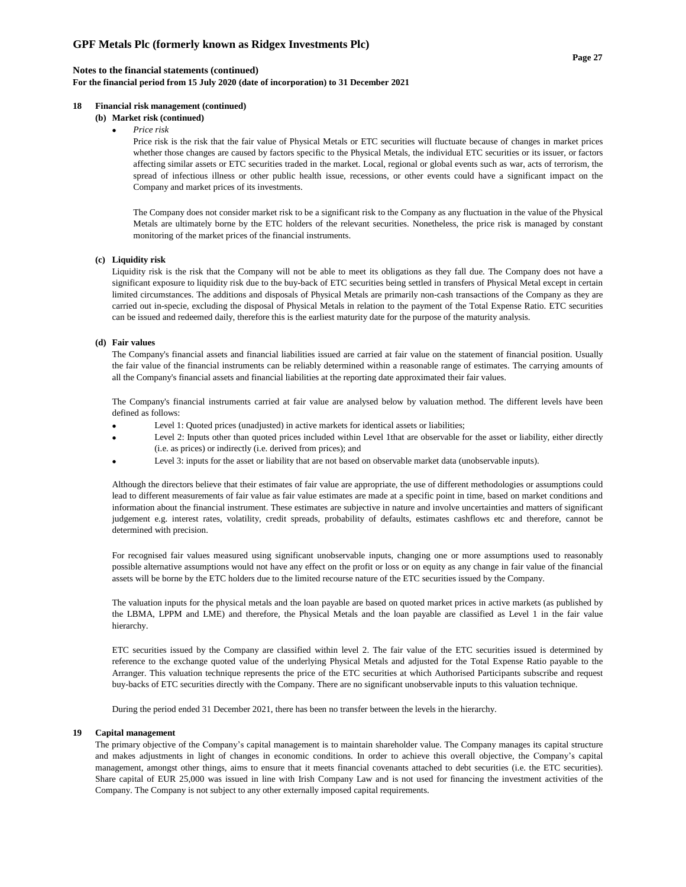**For the financial period from 15 July 2020 (date of incorporation) to 31 December 2021**

## **18 Financial risk management (continued)**

#### **(b) Market risk (continued)**

• *Price risk*

Price risk is the risk that the fair value of Physical Metals or ETC securities will fluctuate because of changes in market prices whether those changes are caused by factors specific to the Physical Metals, the individual ETC securities or its issuer, or factors affecting similar assets or ETC securities traded in the market. Local, regional or global events such as war, acts of terrorism, the spread of infectious illness or other public health issue, recessions, or other events could have a significant impact on the Company and market prices of its investments.

The Company does not consider market risk to be a significant risk to the Company as any fluctuation in the value of the Physical Metals are ultimately borne by the ETC holders of the relevant securities. Nonetheless, the price risk is managed by constant monitoring of the market prices of the financial instruments.

#### **(c) Liquidity risk**

Liquidity risk is the risk that the Company will not be able to meet its obligations as they fall due. The Company does not have a significant exposure to liquidity risk due to the buy-back of ETC securities being settled in transfers of Physical Metal except in certain limited circumstances. The additions and disposals of Physical Metals are primarily non-cash transactions of the Company as they are carried out in-specie, excluding the disposal of Physical Metals in relation to the payment of the Total Expense Ratio. ETC securities can be issued and redeemed daily, therefore this is the earliest maturity date for the purpose of the maturity analysis.

### **(d) Fair values**

The Company's financial assets and financial liabilities issued are carried at fair value on the statement of financial position. Usually the fair value of the financial instruments can be reliably determined within a reasonable range of estimates. The carrying amounts of all the Company's financial assets and financial liabilities at the reporting date approximated their fair values.

The Company's financial instruments carried at fair value are analysed below by valuation method. The different levels have been defined as follows:

- Level 1: Quoted prices (unadjusted) in active markets for identical assets or liabilities;
- Level 2: Inputs other than quoted prices included within Level 1that are observable for the asset or liability, either directly (i.e. as prices) or indirectly (i.e. derived from prices); and
- Level 3: inputs for the asset or liability that are not based on observable market data (unobservable inputs).

Although the directors believe that their estimates of fair value are appropriate, the use of different methodologies or assumptions could lead to different measurements of fair value as fair value estimates are made at a specific point in time, based on market conditions and information about the financial instrument. These estimates are subjective in nature and involve uncertainties and matters of significant judgement e.g. interest rates, volatility, credit spreads, probability of defaults, estimates cashflows etc and therefore, cannot be determined with precision.

For recognised fair values measured using significant unobservable inputs, changing one or more assumptions used to reasonably possible alternative assumptions would not have any effect on the profit or loss or on equity as any change in fair value of the financial assets will be borne by the ETC holders due to the limited recourse nature of the ETC securities issued by the Company.

The valuation inputs for the physical metals and the loan payable are based on quoted market prices in active markets (as published by the LBMA, LPPM and LME) and therefore, the Physical Metals and the loan payable are classified as Level 1 in the fair value hierarchy.

ETC securities issued by the Company are classified within level 2. The fair value of the ETC securities issued is determined by reference to the exchange quoted value of the underlying Physical Metals and adjusted for the Total Expense Ratio payable to the Arranger. This valuation technique represents the price of the ETC securities at which Authorised Participants subscribe and request buy-backs of ETC securities directly with the Company. There are no significant unobservable inputs to this valuation technique.

During the period ended 31 December 2021, there has been no transfer between the levels in the hierarchy.

#### **19 Capital management**

The primary objective of the Company's capital management is to maintain shareholder value. The Company manages its capital structure and makes adjustments in light of changes in economic conditions. In order to achieve this overall objective, the Company's capital management, amongst other things, aims to ensure that it meets financial covenants attached to debt securities (i.e. the ETC securities). Share capital of EUR 25,000 was issued in line with Irish Company Law and is not used for financing the investment activities of the Company. The Company is not subject to any other externally imposed capital requirements.